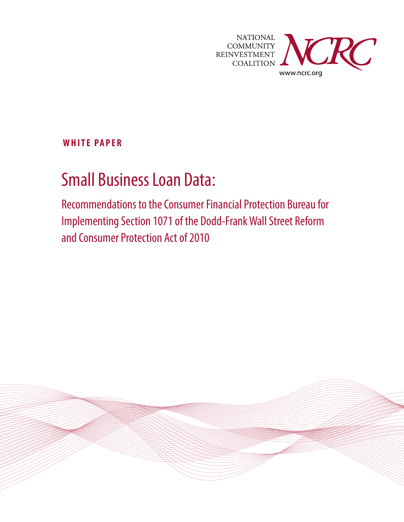

# Small Business Loan Data:

Recommendations to the Consumer Financial Protection Bureau for Implementing Section 1071 of the Dodd-Frank Wall Street Reform and Consumer Protection Act of 2010

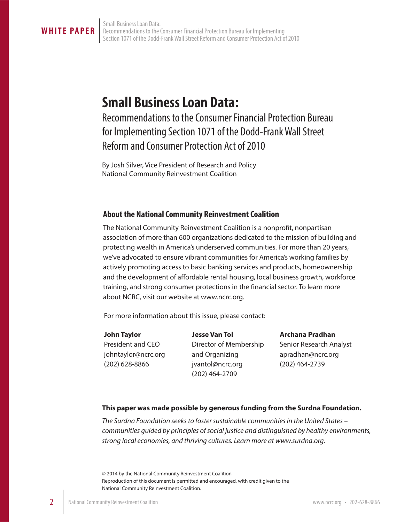# **Small Business Loan Data:**

Recommendations to the Consumer Financial Protection Bureau for Implementing Section 1071 of the Dodd-Frank Wall Street Reform and Consumer Protection Act of 2010

By Josh Silver, Vice President of Research and Policy National Community Reinvestment Coalition

#### **About the National Community Reinvestment Coalition**

The National Community Reinvestment Coalition is a nonprofit, nonpartisan association of more than 600 organizations dedicated to the mission of building and protecting wealth in America's underserved communities. For more than 20 years, we've advocated to ensure vibrant communities for America's working families by actively promoting access to basic banking services and products, homeownership and the development of affordable rental housing, local business growth, workforce training, and strong consumer protections in the financial sector. To learn more about NCRC, visit our website at www.ncrc.org.

For more information about this issue, please contact:

#### **John Taylor**

President and CEO johntaylor@ncrc.org (202) 628-8866

**Jesse Van Tol** Director of Membership and Organizing jvantol@ncrc.org (202) 464-2709

#### **Archana Pradhan** Senior Research Analyst apradhan@ncrc.org (202) 464-2739

#### **This paper was made possible by generous funding from the Surdna Foundation.**

*The Surdna Foundation seeks to foster sustainable communities in the United States – communities guided by principles of social justice and distinguished by healthy environments, strong local economies, and thriving cultures. Learn more at www.surdna.org.*

© 2014 by the National Community Reinvestment Coalition Reproduction of this document is permitted and encouraged, with credit given to the National Community Reinvestment Coalition.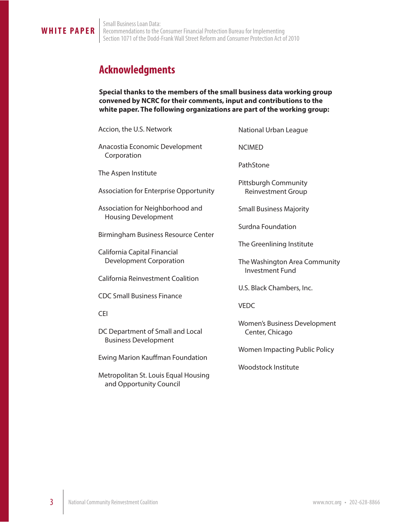Small Business Loan Data: Recommendations to the Consumer Financial Protection Bureau for Implementing Section 1071 of the Dodd-Frank Wall Street Reform and Consumer Protection Act of 2010

# **Acknowledgments**

**Special thanks to the members of the small business data working group convened by NCRC for their comments, input and contributions to the white paper. The following organizations are part of the working group:** 

| Accion, the U.S. Network                                        | National Urban League                                    |  |
|-----------------------------------------------------------------|----------------------------------------------------------|--|
| Anacostia Economic Development<br>Corporation                   | <b>NCIMED</b>                                            |  |
| The Aspen Institute                                             | PathStone                                                |  |
| Association for Enterprise Opportunity                          | <b>Pittsburgh Community</b><br><b>Reinvestment Group</b> |  |
| Association for Neighborhood and<br><b>Housing Development</b>  | <b>Small Business Majority</b>                           |  |
| Birmingham Business Resource Center                             | Surdna Foundation                                        |  |
| California Capital Financial                                    | The Greenlining Institute                                |  |
| <b>Development Corporation</b>                                  | The Washington Area Community<br><b>Investment Fund</b>  |  |
| <b>California Reinvestment Coalition</b>                        |                                                          |  |
| <b>CDC Small Business Finance</b>                               | U.S. Black Chambers, Inc.                                |  |
| <b>CEI</b>                                                      | <b>VEDC</b>                                              |  |
|                                                                 | <b>Women's Business Development</b>                      |  |
| DC Department of Small and Local<br><b>Business Development</b> | Center, Chicago                                          |  |
| <b>Ewing Marion Kauffman Foundation</b>                         | Women Impacting Public Policy                            |  |
|                                                                 | Woodstock Institute                                      |  |
| Metropolitan St. Louis Equal Housing<br>and Opportunity Council |                                                          |  |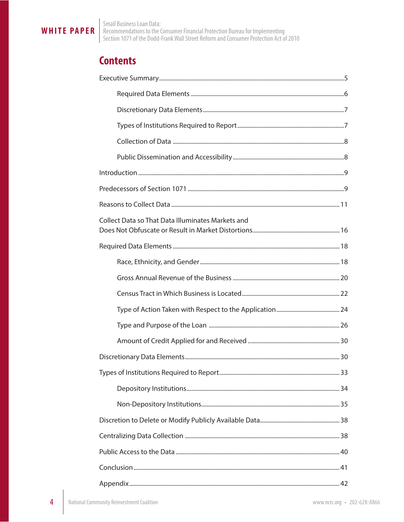Small Business Loan Data:<br>Recommendations to the Consumer Financial Protection Bureau for Implementing<br>Section 1071 of the Dodd-Frank Wall Street Reform and Consumer Protection Act of 2010

# **Contents**

| Collect Data so That Data Illuminates Markets and |
|---------------------------------------------------|
|                                                   |
|                                                   |
|                                                   |
|                                                   |
|                                                   |
|                                                   |
|                                                   |
|                                                   |
|                                                   |
|                                                   |
|                                                   |
|                                                   |
|                                                   |
|                                                   |
|                                                   |
|                                                   |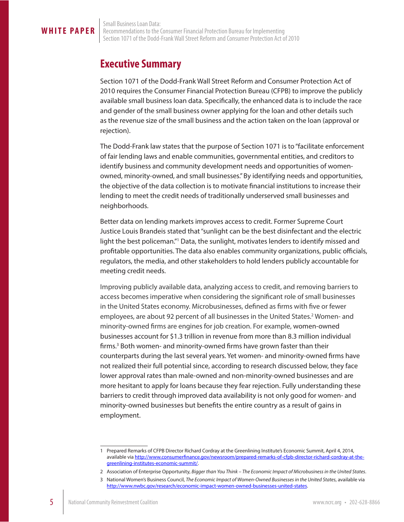<span id="page-4-0"></span>Small Business Loan Data: Recommendations to the Consumer Financial Protection Bureau for Implementing Section 1071 of the Dodd-Frank Wall Street Reform and Consumer Protection Act of 2010

### **Executive Summary**

Section 1071 of the Dodd-Frank Wall Street Reform and Consumer Protection Act of 2010 requires the Consumer Financial Protection Bureau (CFPB) to improve the publicly available small business loan data. Specifically, the enhanced data is to include the race and gender of the small business owner applying for the loan and other details such as the revenue size of the small business and the action taken on the loan (approval or rejection).

The Dodd-Frank law states that the purpose of Section 1071 is to "facilitate enforcement of fair lending laws and enable communities, governmental entities, and creditors to identify business and community development needs and opportunities of womenowned, minority-owned, and small businesses." By identifying needs and opportunities, the objective of the data collection is to motivate financial institutions to increase their lending to meet the credit needs of traditionally underserved small businesses and neighborhoods.

Better data on lending markets improves access to credit. Former Supreme Court Justice Louis Brandeis stated that "sunlight can be the best disinfectant and the electric light the best policeman."<sup>1</sup> Data, the sunlight, motivates lenders to identify missed and profitable opportunities. The data also enables community organizations, public officials, regulators, the media, and other stakeholders to hold lenders publicly accountable for meeting credit needs.

Improving publicly available data, analyzing access to credit, and removing barriers to access becomes imperative when considering the significant role of small businesses in the United States economy. Microbusinesses, defined as firms with five or fewer employees, are about 92 percent of all businesses in the United States.<sup>2</sup> Women- and minority-owned firms are engines for job creation. For example, women-owned businesses account for \$1.3 trillion in revenue from more than 8.3 million individual firms.<sup>3</sup> Both women- and minority-owned firms have grown faster than their counterparts during the last several years. Yet women- and minority-owned firms have not realized their full potential since, according to research discussed below, they face lower approval rates than male-owned and non-minority-owned businesses and are more hesitant to apply for loans because they fear rejection. Fully understanding these barriers to credit through improved data availability is not only good for women- and minority-owned businesses but benefits the entire country as a result of gains in employment.

<sup>1</sup> Prepared Remarks of CFPB Director Richard Cordray at the Greenlining Institute's Economic Summit, April 4, 2014, available via [http://www.consumerfinance.gov/newsroom/prepared-remarks-of-cfpb-director-richard-cordray-at-the](http://www.consumerfinance.gov/newsroom/prepared-remarks-of-cfpb-director-richard-cordray-at-the-greenlining-institutes-economic-summit/)[greenlining-institutes-economic-summit/.](http://www.consumerfinance.gov/newsroom/prepared-remarks-of-cfpb-director-richard-cordray-at-the-greenlining-institutes-economic-summit/)

<sup>2</sup> Association of Enterprise Opportunity, *Bigger than You Think – The Economic Impact of Microbusiness in the United States*.

<sup>3</sup> National Women's Business Council, *The Economic Impact of Women-Owned Businesses in the United States*, available via <http://www.nwbc.gov/research/economic-impact-women-owned-businesses-united-states>.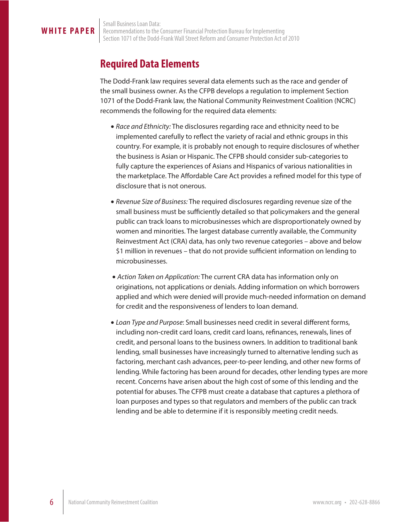<span id="page-5-0"></span>Small Business Loan Data: Recommendations to the Consumer Financial Protection Bureau for Implementing Section 1071 of the Dodd-Frank Wall Street Reform and Consumer Protection Act of 2010

# **Required Data Elements**

The Dodd-Frank law requires several data elements such as the race and gender of the small business owner. As the CFPB develops a regulation to implement Section 1071 of the Dodd-Frank law, the National Community Reinvestment Coalition (NCRC) recommends the following for the required data elements:

- *Race and Ethnicity:* The disclosures regarding race and ethnicity need to be implemented carefully to reflect the variety of racial and ethnic groups in this country. For example, it is probably not enough to require disclosures of whether the business is Asian or Hispanic. The CFPB should consider sub-categories to fully capture the experiences of Asians and Hispanics of various nationalities in the marketplace. The Affordable Care Act provides a refined model for this type of disclosure that is not onerous.
- *Revenue Size of Business:* The required disclosures regarding revenue size of the small business must be sufficiently detailed so that policymakers and the general public can track loans to microbusinesses which are disproportionately owned by women and minorities. The largest database currently available, the Community Reinvestment Act (CRA) data, has only two revenue categories – above and below \$1 million in revenues – that do not provide sufficient information on lending to microbusinesses.
- *Action Taken on Application:* The current CRA data has information only on originations, not applications or denials. Adding information on which borrowers applied and which were denied will provide much-needed information on demand for credit and the responsiveness of lenders to loan demand.
- *Loan Type and Purpose*: Small businesses need credit in several different forms, including non-credit card loans, credit card loans, refinances, renewals, lines of credit, and personal loans to the business owners. In addition to traditional bank lending, small businesses have increasingly turned to alternative lending such as factoring, merchant cash advances, peer-to-peer lending, and other new forms of lending. While factoring has been around for decades, other lending types are more recent. Concerns have arisen about the high cost of some of this lending and the potential for abuses. The CFPB must create a database that captures a plethora of loan purposes and types so that regulators and members of the public can track lending and be able to determine if it is responsibly meeting credit needs.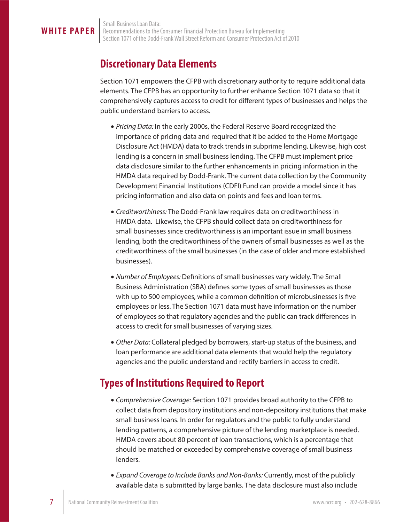<span id="page-6-0"></span>Small Business Loan Data: Recommendations to the Consumer Financial Protection Bureau for Implementing Section 1071 of the Dodd-Frank Wall Street Reform and Consumer Protection Act of 2010

# **Discretionary Data Elements**

Section 1071 empowers the CFPB with discretionary authority to require additional data elements. The CFPB has an opportunity to further enhance Section 1071 data so that it comprehensively captures access to credit for different types of businesses and helps the public understand barriers to access.

- *Pricing Data:* In the early 2000s, the Federal Reserve Board recognized the importance of pricing data and required that it be added to the Home Mortgage Disclosure Act (HMDA) data to track trends in subprime lending. Likewise, high cost lending is a concern in small business lending. The CFPB must implement price data disclosure similar to the further enhancements in pricing information in the HMDA data required by Dodd-Frank. The current data collection by the Community Development Financial Institutions (CDFI) Fund can provide a model since it has pricing information and also data on points and fees and loan terms.
- *Creditworthiness:* The Dodd-Frank law requires data on creditworthiness in HMDA data. Likewise, the CFPB should collect data on creditworthiness for small businesses since creditworthiness is an important issue in small business lending, both the creditworthiness of the owners of small businesses as well as the creditworthiness of the small businesses (in the case of older and more established businesses).
- *Number of Employees:* Definitions of small businesses vary widely. The Small Business Administration (SBA) defines some types of small businesses as those with up to 500 employees, while a common definition of microbusinesses is five employees or less. The Section 1071 data must have information on the number of employees so that regulatory agencies and the public can track differences in access to credit for small businesses of varying sizes.
- *Other Data:* Collateral pledged by borrowers, start-up status of the business, and loan performance are additional data elements that would help the regulatory agencies and the public understand and rectify barriers in access to credit.

# **Types of Institutions Required to Report**

- *Comprehensive Coverage:* Section 1071 provides broad authority to the CFPB to collect data from depository institutions and non-depository institutions that make small business loans. In order for regulators and the public to fully understand lending patterns, a comprehensive picture of the lending marketplace is needed. HMDA covers about 80 percent of loan transactions, which is a percentage that should be matched or exceeded by comprehensive coverage of small business lenders.
- *Expand Coverage to Include Banks and Non-Banks:* Currently, most of the publicly available data is submitted by large banks. The data disclosure must also include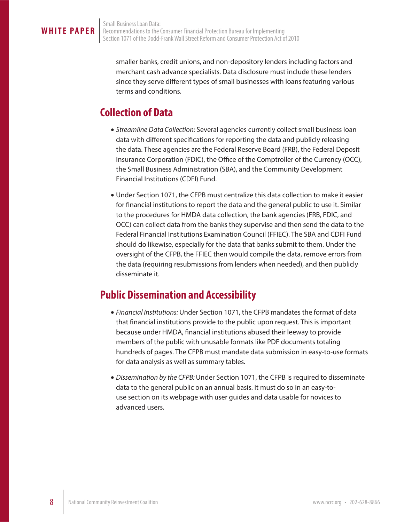<span id="page-7-0"></span>smaller banks, credit unions, and non-depository lenders including factors and merchant cash advance specialists. Data disclosure must include these lenders since they serve different types of small businesses with loans featuring various terms and conditions.

# **Collection of Data**

- *Streamline Data Collection:* Several agencies currently collect small business loan data with different specifications for reporting the data and publicly releasing the data. These agencies are the Federal Reserve Board (FRB), the Federal Deposit Insurance Corporation (FDIC), the Office of the Comptroller of the Currency (OCC), the Small Business Administration (SBA), and the Community Development Financial Institutions (CDFI) Fund.
- Under Section 1071, the CFPB must centralize this data collection to make it easier for financial institutions to report the data and the general public to use it. Similar to the procedures for HMDA data collection, the bank agencies (FRB, FDIC, and OCC) can collect data from the banks they supervise and then send the data to the Federal Financial Institutions Examination Council (FFIEC). The SBA and CDFI Fund should do likewise, especially for the data that banks submit to them. Under the oversight of the CFPB, the FFIEC then would compile the data, remove errors from the data (requiring resubmissions from lenders when needed), and then publicly disseminate it.

# **Public Dissemination and Accessibility**

- *Financial Institutions:* Under Section 1071, the CFPB mandates the format of data that financial institutions provide to the public upon request. This is important because under HMDA, financial institutions abused their leeway to provide members of the public with unusable formats like PDF documents totaling hundreds of pages. The CFPB must mandate data submission in easy-to-use formats for data analysis as well as summary tables.
- *Dissemination by the CFPB:* Under Section 1071, the CFPB is required to disseminate data to the general public on an annual basis. It must do so in an easy-touse section on its webpage with user guides and data usable for novices to advanced users.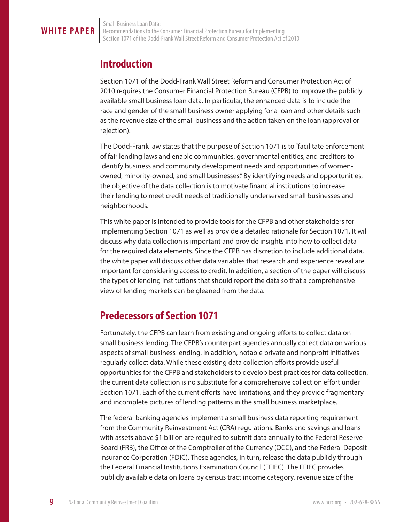<span id="page-8-0"></span>Small Business Loan Data: Recommendations to the Consumer Financial Protection Bureau for Implementing Section 1071 of the Dodd-Frank Wall Street Reform and Consumer Protection Act of 2010

# **Introduction**

Section 1071 of the Dodd-Frank Wall Street Reform and Consumer Protection Act of 2010 requires the Consumer Financial Protection Bureau (CFPB) to improve the publicly available small business loan data. In particular, the enhanced data is to include the race and gender of the small business owner applying for a loan and other details such as the revenue size of the small business and the action taken on the loan (approval or rejection).

The Dodd-Frank law states that the purpose of Section 1071 is to "facilitate enforcement of fair lending laws and enable communities, governmental entities, and creditors to identify business and community development needs and opportunities of womenowned, minority-owned, and small businesses." By identifying needs and opportunities, the objective of the data collection is to motivate financial institutions to increase their lending to meet credit needs of traditionally underserved small businesses and neighborhoods.

This white paper is intended to provide tools for the CFPB and other stakeholders for implementing Section 1071 as well as provide a detailed rationale for Section 1071. It will discuss why data collection is important and provide insights into how to collect data for the required data elements. Since the CFPB has discretion to include additional data, the white paper will discuss other data variables that research and experience reveal are important for considering access to credit. In addition, a section of the paper will discuss the types of lending institutions that should report the data so that a comprehensive view of lending markets can be gleaned from the data.

### **Predecessors of Section 1071**

Fortunately, the CFPB can learn from existing and ongoing efforts to collect data on small business lending. The CFPB's counterpart agencies annually collect data on various aspects of small business lending. In addition, notable private and nonprofit initiatives regularly collect data. While these existing data collection efforts provide useful opportunities for the CFPB and stakeholders to develop best practices for data collection, the current data collection is no substitute for a comprehensive collection effort under Section 1071. Each of the current efforts have limitations, and they provide fragmentary and incomplete pictures of lending patterns in the small business marketplace.

The federal banking agencies implement a small business data reporting requirement from the Community Reinvestment Act (CRA) regulations. Banks and savings and loans with assets above \$1 billion are required to submit data annually to the Federal Reserve Board (FRB), the Office of the Comptroller of the Currency (OCC), and the Federal Deposit Insurance Corporation (FDIC). These agencies, in turn, release the data publicly through the Federal Financial Institutions Examination Council (FFIEC). The FFIEC provides publicly available data on loans by census tract income category, revenue size of the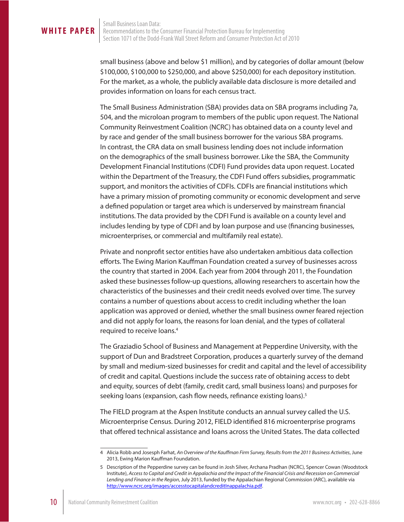small business (above and below \$1 million), and by categories of dollar amount (below \$100,000, \$100,000 to \$250,000, and above \$250,000) for each depository institution. For the market, as a whole, the publicly available data disclosure is more detailed and provides information on loans for each census tract.

The Small Business Administration (SBA) provides data on SBA programs including 7a, 504, and the microloan program to members of the public upon request. The National Community Reinvestment Coalition (NCRC) has obtained data on a county level and by race and gender of the small business borrower for the various SBA programs. In contrast, the CRA data on small business lending does not include information on the demographics of the small business borrower. Like the SBA, the Community Development Financial Institutions (CDFI) Fund provides data upon request. Located within the Department of the Treasury, the CDFI Fund offers subsidies, programmatic support, and monitors the activities of CDFIs. CDFIs are financial institutions which have a primary mission of promoting community or economic development and serve a defined population or target area which is underserved by mainstream financial institutions. The data provided by the CDFI Fund is available on a county level and includes lending by type of CDFI and by loan purpose and use (financing businesses, microenterprises, or commercial and multifamily real estate).

Private and nonprofit sector entities have also undertaken ambitious data collection efforts. The Ewing Marion Kauffman Foundation created a survey of businesses across the country that started in 2004. Each year from 2004 through 2011, the Foundation asked these businesses follow-up questions, allowing researchers to ascertain how the characteristics of the businesses and their credit needs evolved over time. The survey contains a number of questions about access to credit including whether the loan application was approved or denied, whether the small business owner feared rejection and did not apply for loans, the reasons for loan denial, and the types of collateral required to receive loans.4

The Graziadio School of Business and Management at Pepperdine University, with the support of Dun and Bradstreet Corporation, produces a quarterly survey of the demand by small and medium-sized businesses for credit and capital and the level of accessibility of credit and capital. Questions include the success rate of obtaining access to debt and equity, sources of debt (family, credit card, small business loans) and purposes for seeking loans (expansion, cash flow needs, refinance existing loans).<sup>5</sup>

The FIELD program at the Aspen Institute conducts an annual survey called the U.S. Microenterprise Census. During 2012, FIELD identified 816 microenterprise programs that offered technical assistance and loans across the United States. The data collected

<sup>4</sup> Alicia Robb and Josesph Farhat, *An Overview of the Kauffman Firm Survey, Results from the 2011 Business Activities*, June 2013, Ewing Marion Kauffman Foundation.

<sup>5</sup> Description of the Pepperdine survey can be found in Josh Silver, Archana Pradhan (NCRC), Spencer Cowan (Woodstock Institute), *Access to Capital and Credit in Appalachia and the Impact of the Financial Crisis and Recession on Commercial Lending and Finance in the Region*, July 2013, funded by the Appalachian Regional Commission (ARC), available via <http://www.ncrc.org/images/accesstocapitalandcreditInappalachia.pdf>.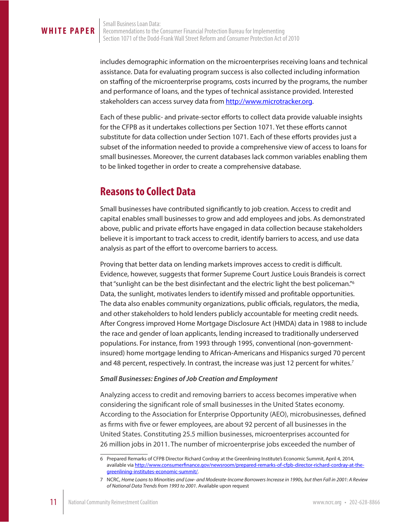<span id="page-10-0"></span>Small Business Loan Data: Recommendations to the Consumer Financial Protection Bureau for Implementing Section 1071 of the Dodd-Frank Wall Street Reform and Consumer Protection Act of 2010

includes demographic information on the microenterprises receiving loans and technical assistance. Data for evaluating program success is also collected including information on staffing of the microenterprise programs, costs incurred by the programs, the number and performance of loans, and the types of technical assistance provided. Interested stakeholders can access survey data from<http://www.microtracker.org>.

Each of these public- and private-sector efforts to collect data provide valuable insights for the CFPB as it undertakes collections per Section 1071. Yet these efforts cannot substitute for data collection under Section 1071. Each of these efforts provides just a subset of the information needed to provide a comprehensive view of access to loans for small businesses. Moreover, the current databases lack common variables enabling them to be linked together in order to create a comprehensive database.

### **Reasons to Collect Data**

Small businesses have contributed significantly to job creation. Access to credit and capital enables small businesses to grow and add employees and jobs. As demonstrated above, public and private efforts have engaged in data collection because stakeholders believe it is important to track access to credit, identify barriers to access, and use data analysis as part of the effort to overcome barriers to access.

Proving that better data on lending markets improves access to credit is difficult. Evidence, however, suggests that former Supreme Court Justice Louis Brandeis is correct that "sunlight can be the best disinfectant and the electric light the best policeman."6 Data, the sunlight, motivates lenders to identify missed and profitable opportunities. The data also enables community organizations, public officials, regulators, the media, and other stakeholders to hold lenders publicly accountable for meeting credit needs. After Congress improved Home Mortgage Disclosure Act (HMDA) data in 1988 to include the race and gender of loan applicants, lending increased to traditionally underserved populations. For instance, from 1993 through 1995, conventional (non-governmentinsured) home mortgage lending to African-Americans and Hispanics surged 70 percent and 48 percent, respectively. In contrast, the increase was just 12 percent for whites.<sup>7</sup>

#### *Small Businesses: Engines of Job Creation and Employment*

Analyzing access to credit and removing barriers to access becomes imperative when considering the significant role of small businesses in the United States economy. According to the Association for Enterprise Opportunity (AEO), microbusinesses, defined as firms with five or fewer employees, are about 92 percent of all businesses in the United States. Constituting 25.5 million businesses, microenterprises accounted for 26 million jobs in 2011. The number of microenterprise jobs exceeded the number of

<sup>6</sup> Prepared Remarks of CFPB Director Richard Cordray at the Greenlining Institute's Economic Summit, April 4, 2014, available via [http://www.consumerfinance.gov/newsroom/prepared-remarks-of-cfpb-director-richard-cordray-at-the](http://www.consumerfinance.gov/newsroom/prepared-remarks-of-cfpb-director-richard-cordray-at-the-greenlining-institutes-economic-summit/)[greenlining-institutes-economic-summit/.](http://www.consumerfinance.gov/newsroom/prepared-remarks-of-cfpb-director-richard-cordray-at-the-greenlining-institutes-economic-summit/)

<sup>7</sup> NCRC, *Home Loans to Minorities and Low- and Moderate-Income Borrowers Increase in 1990s, but then Fall in 2001: A Review of National Data Trends from 1993 to 2001*. Available upon request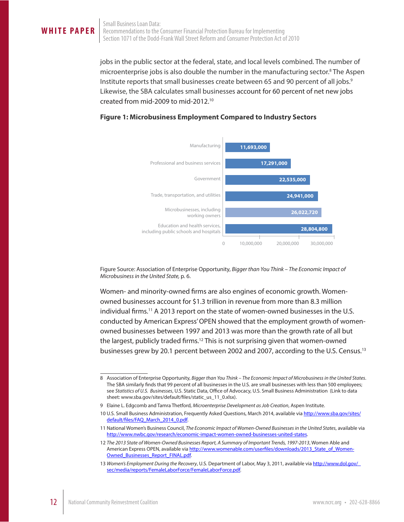jobs in the public sector at the federal, state, and local levels combined. The number of microenterprise jobs is also double the number in the manufacturing sector.<sup>8</sup> The Aspen Institute reports that small businesses create between 65 and 90 percent of all jobs.<sup>9</sup> Likewise, the SBA calculates small businesses account for 60 percent of net new jobs created from mid-2009 to mid-2012.10



#### **Figure 1: Microbusiness Employment Compared to Industry Sectors**

Figure Source: Association of Enterprise Opportunity, *Bigger than You Think – The Economic Impact of Microbusiness in the United State,* p. 6.

Women- and minority-owned firms are also engines of economic growth. Womenowned businesses account for \$1.3 trillion in revenue from more than 8.3 million individual firms.<sup>11</sup> A 2013 report on the state of women-owned businesses in the U.S. conducted by American Express' OPEN showed that the employment growth of womenowned businesses between 1997 and 2013 was more than the growth rate of all but the largest, publicly traded firms.12 This is not surprising given that women-owned businesses grew by 20.1 percent between 2002 and 2007, according to the U.S. Census.<sup>13</sup>

<sup>8</sup> Association of Enterprise Opportunity, *Bigger than You Think – The Economic Impact of Microbusiness in the United States*. The SBA similarly finds that 99 percent of all businesses in the U.S. are small businesses with less than 500 employees; see *Statistics of U.S. Businesses*, U.S. Static Data, Office of Advocacy, U.S. Small Business Administration (Link to data sheet: www.sba.gov/sites/default/files/static\_us\_11\_0.xlsx).

<sup>9</sup> Elaine L. Edgcomb and Tamra Thetford, *Microenterprise Development as Job Creation*, Aspen Institute.

<sup>10</sup> U.S. Small Business Administration, Frequently Asked Questions, March 2014, available via [http://www.sba.gov/sites/](http://www.sba.gov/sites/default/files/FAQ_March_2014_0.pdf) [default/files/FAQ\\_March\\_2014\\_0.pdf](http://www.sba.gov/sites/default/files/FAQ_March_2014_0.pdf).

<sup>11</sup> National Women's Business Council, *The Economic Impact of Women-Owned Businesses in the United States*, available via <http://www.nwbc.gov/research/economic-impact-women-owned-businesses-united-states>.

<sup>12</sup> *The 2013 State of Women-Owned Businesses Report, A Summary of Important Trends, 1997-2013*, Women Able and American Express OPEN, available via [http://www.womenable.com/userfiles/downloads/2013\\_State\\_of\\_Women-](http://www.womenable.com/userfiles/downloads/2013_State_of_Women-Owned_Businesses_Report_FINAL.pdf)Owned Businesses Report FINAL.pdf.

<sup>13</sup> *Women's Employment During the Recovery*, U.S. Department of Labor, May 3, 2011, available via [http://www.dol.gov/\\_](http://www.dol.gov/_sec/media/reports/FemaleLaborForce/FemaleLaborForce.pdf) [sec/media/reports/FemaleLaborForce/FemaleLaborForce.pdf](http://www.dol.gov/_sec/media/reports/FemaleLaborForce/FemaleLaborForce.pdf).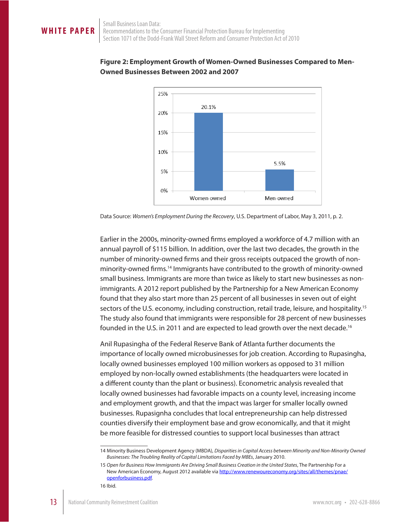

#### **Figure 2: Employment Growth of Women-Owned Businesses Compared to Men-Owned Businesses Between 2002 and 2007**

Earlier in the 2000s, minority-owned firms employed a workforce of 4.7 million with an annual payroll of \$115 billion. In addition, over the last two decades, the growth in the number of minority-owned firms and their gross receipts outpaced the growth of nonminority-owned firms.14 Immigrants have contributed to the growth of minority-owned small business. Immigrants are more than twice as likely to start new businesses as nonimmigrants. A 2012 report published by the Partnership for a New American Economy found that they also start more than 25 percent of all businesses in seven out of eight sectors of the U.S. economy, including construction, retail trade, leisure, and hospitality.<sup>15</sup> The study also found that immigrants were responsible for 28 percent of new businesses founded in the U.S. in 2011 and are expected to lead growth over the next decade.16

Anil Rupasingha of the Federal Reserve Bank of Atlanta further documents the importance of locally owned microbusinesses for job creation. According to Rupasingha, locally owned businesses employed 100 million workers as opposed to 31 million employed by non-locally owned establishments (the headquarters were located in a different county than the plant or business). Econometric analysis revealed that locally owned businesses had favorable impacts on a county level, increasing income and employment growth, and that the impact was larger for smaller locally owned businesses. Rupasignha concludes that local entrepreneurship can help distressed counties diversify their employment base and grow economically, and that it might be more feasible for distressed counties to support local businesses than attract

Data Source: *Women's Employment During the Recovery*, U.S. Department of Labor, May 3, 2011, p. 2.

<sup>14</sup> Minority Business Development Agency (MBDA), *Disparities in Capital Access between Minority and Non-Minority Owned Businesses: The Troubling Reality of Capital Limitations Faced by MBEs*, January 2010.

<sup>15</sup> *Open for Business How Immigrants Are Driving Small Business Creation in the United States*, The Partnership For a New American Economy, August 2012 available via [http://www.renewoureconomy.org/sites/all/themes/pnae/](http://www.renewoureconomy.org/sites/all/themes/pnae/openforbusiness.pdf) [openforbusiness.pdf](http://www.renewoureconomy.org/sites/all/themes/pnae/openforbusiness.pdf).

<sup>16</sup> Ibid.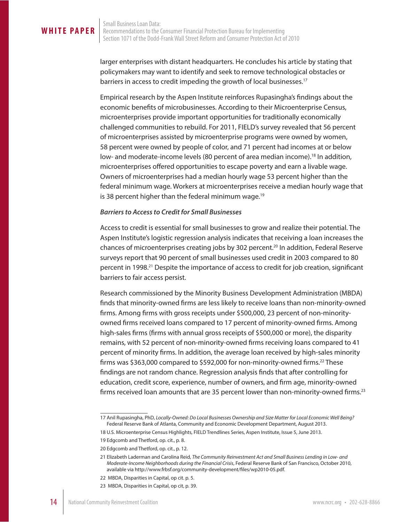larger enterprises with distant headquarters. He concludes his article by stating that policymakers may want to identify and seek to remove technological obstacles or barriers in access to credit impeding the growth of local businesses.<sup>17</sup>

Empirical research by the Aspen Institute reinforces Rupasingha's findings about the economic benefits of microbusinesses. According to their Microenterprise Census, microenterprises provide important opportunities for traditionally economically challenged communities to rebuild. For 2011, FIELD's survey revealed that 56 percent of microenterprises assisted by microenterprise programs were owned by women, 58 percent were owned by people of color, and 71 percent had incomes at or below low- and moderate-income levels (80 percent of area median income).<sup>18</sup> In addition, microenterprises offered opportunities to escape poverty and earn a livable wage. Owners of microenterprises had a median hourly wage 53 percent higher than the federal minimum wage. Workers at microenterprises receive a median hourly wage that is 38 percent higher than the federal minimum wage.<sup>19</sup>

#### *Barriers to Access to Credit for Small Businesses*

Access to credit is essential for small businesses to grow and realize their potential. The Aspen Institute's logistic regression analysis indicates that receiving a loan increases the chances of microenterprises creating jobs by 302 percent.20 In addition, Federal Reserve surveys report that 90 percent of small businesses used credit in 2003 compared to 80 percent in 1998.<sup>21</sup> Despite the importance of access to credit for job creation, significant barriers to fair access persist.

Research commissioned by the Minority Business Development Administration (MBDA) finds that minority-owned firms are less likely to receive loans than non-minority-owned firms. Among firms with gross receipts under \$500,000, 23 percent of non-minorityowned firms received loans compared to 17 percent of minority-owned firms. Among high-sales firms (firms with annual gross receipts of \$500,000 or more), the disparity remains, with 52 percent of non-minority-owned firms receiving loans compared to 41 percent of minority firms. In addition, the average loan received by high-sales minority firms was \$363,000 compared to \$592,000 for non-minority-owned firms.<sup>22</sup> These findings are not random chance. Regression analysis finds that after controlling for education, credit score, experience, number of owners, and firm age, minority-owned firms received loan amounts that are 35 percent lower than non-minority-owned firms.23

<sup>17</sup> Anil Rupasingha, PhD, *Locally-Owned: Do Local Businesses Ownership and Size Matter for Local Economic Well Being?* Federal Reserve Bank of Atlanta, Community and Economic Development Department, August 2013.

<sup>18</sup> U.S. Microenterprise Census Highlights, FIELD Trendlines Series, Aspen Institute, Issue 5, June 2013.

<sup>19</sup> Edgcomb and Thetford, op. cit., p. 8.

<sup>20</sup> Edgcomb and Thetford, op. cit., p. 12.

<sup>21</sup> Elizabeth Laderman and Carolina Reid, *The Community Reinvestment Act and Small Business Lending in Low- and Moderate-Income Neighborhoods during the Financial Crisis*, Federal Reserve Bank of San Francisco, October 2010, available via http://www.frbsf.org/community-development/files/wp2010-05.pdf.

<sup>22</sup> MBDA, Disparities in Capital, op cit. p. 5.

<sup>23</sup> MBDA, Disparities in Capital, op cit, p. 39.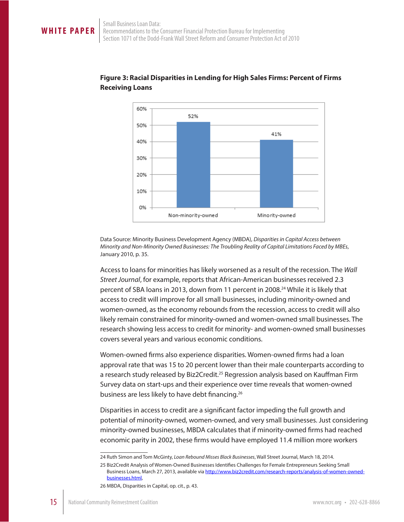

#### **Figure 3: Racial Disparities in Lending for High Sales Firms: Percent of Firms Receiving Loans**

Data Source: Minority Business Development Agency (MBDA), *Disparities in Capital Access between Minority and Non-Minority Owned Businesses: The Troubling Reality of Capital Limitations Faced by MBEs*, January 2010, p. 35.

Access to loans for minorities has likely worsened as a result of the recession. The *Wall Street Journal*, for example, reports that African-American businesses received 2.3 percent of SBA loans in 2013, down from 11 percent in 2008.<sup>24</sup> While it is likely that access to credit will improve for all small businesses, including minority-owned and women-owned, as the economy rebounds from the recession, access to credit will also likely remain constrained for minority-owned and women-owned small businesses. The research showing less access to credit for minority- and women-owned small businesses covers several years and various economic conditions.

Women-owned firms also experience disparities. Women-owned firms had a loan approval rate that was 15 to 20 percent lower than their male counterparts according to a research study released by Biz2Credit.25 Regression analysis based on Kauffman Firm Survey data on start-ups and their experience over time reveals that women-owned business are less likely to have debt financing.<sup>26</sup>

Disparities in access to credit are a significant factor impeding the full growth and potential of minority-owned, women-owned, and very small businesses. Just considering minority-owned businesses, MBDA calculates that if minority-owned firms had reached economic parity in 2002, these firms would have employed 11.4 million more workers

<sup>24</sup> Ruth Simon and Tom McGinty, *Loan Rebound Misses Black Businesses*, Wall Street Journal, March 18, 2014.

<sup>25</sup> Biz2Credit Analysis of Women-Owned Businesses Identifies Challenges for Female Entrepreneurs Seeking Small Business Loans, March 27, 2013, available via [http://www.biz2credit.com/research-reports/analysis-of-women-owned](http://www.biz2credit.com/research-reports/analysis-of-women-owned-businesses.html)[businesses.html,](http://www.biz2credit.com/research-reports/analysis-of-women-owned-businesses.html)

<sup>26</sup> MBDA, Disparities in Capital, op. cit., p. 43.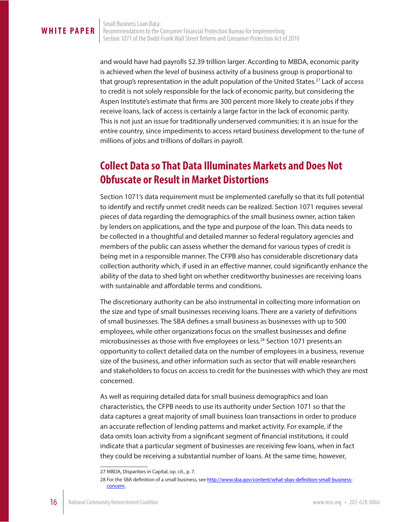<span id="page-15-0"></span>Small Business Loan Data: Recommendations to the Consumer Financial Protection Bureau for Implementing Section 1071 of the Dodd-Frank Wall Street Reform and Consumer Protection Act of 2010

and would have had payrolls \$2.39 trillion larger. According to MBDA, economic parity is achieved when the level of business activity of a business group is proportional to that group's representation in the adult population of the United States.27 Lack of access to credit is not solely responsible for the lack of economic parity, but considering the Aspen Institute's estimate that firms are 300 percent more likely to create jobs if they receive loans, lack of access is certainly a large factor in the lack of economic parity. This is not just an issue for traditionally underserved communities; it is an issue for the entire country, since impediments to access retard business development to the tune of millions of jobs and trillions of dollars in payroll.

# **Collect Data so That Data Illuminates Markets and Does Not Obfuscate or Result in Market Distortions**

Section 1071's data requirement must be implemented carefully so that its full potential to identify and rectify unmet credit needs can be realized. Section 1071 requires several pieces of data regarding the demographics of the small business owner, action taken by lenders on applications, and the type and purpose of the loan. This data needs to be collected in a thoughtful and detailed manner so federal regulatory agencies and members of the public can assess whether the demand for various types of credit is being met in a responsible manner. The CFPB also has considerable discretionary data collection authority which, if used in an effective manner, could significantly enhance the ability of the data to shed light on whether creditworthy businesses are receiving loans with sustainable and affordable terms and conditions.

The discretionary authority can be also instrumental in collecting more information on the size and type of small businesses receiving loans. There are a variety of definitions of small businesses. The SBA defines a small business as businesses with up to 500 employees, while other organizations focus on the smallest businesses and define microbusinesses as those with five employees or less.28 Section 1071 presents an opportunity to collect detailed data on the number of employees in a business, revenue size of the business, and other information such as sector that will enable researchers and stakeholders to focus on access to credit for the businesses with which they are most concerned.

As well as requiring detailed data for small business demographics and loan characteristics, the CFPB needs to use its authority under Section 1071 so that the data captures a great majority of small business loan transactions in order to produce an accurate reflection of lending patterns and market activity. For example, if the data omits loan activity from a significant segment of financial institutions, it could indicate that a particular segment of businesses are receiving few loans, when in fact they could be receiving a substantial number of loans. At the same time, however,

<sup>27</sup> MBDA, Disparities in Capital, op. cit., p. 7.

<sup>28</sup> For the SBA definition of a small business, see [http://www.sba.gov/content/what-sbas-definition-small-business](http://www.sba.gov/content/what-sbas-definition-small-business-concern)[concern.](http://www.sba.gov/content/what-sbas-definition-small-business-concern)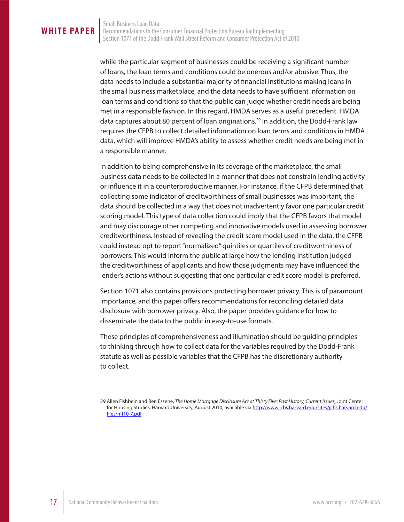Small Business Loan Data: Recommendations to the Consumer Financial Protection Bureau for Implementing Section 1071 of the Dodd-Frank Wall Street Reform and Consumer Protection Act of 2010

while the particular segment of businesses could be receiving a significant number of loans, the loan terms and conditions could be onerous and/or abusive. Thus, the data needs to include a substantial majority of financial institutions making loans in the small business marketplace, and the data needs to have sufficient information on loan terms and conditions so that the public can judge whether credit needs are being met in a responsible fashion. In this regard, HMDA serves as a useful precedent. HMDA data captures about 80 percent of loan originations.29 In addition, the Dodd-Frank law requires the CFPB to collect detailed information on loan terms and conditions in HMDA data, which will improve HMDA's ability to assess whether credit needs are being met in a responsible manner.

In addition to being comprehensive in its coverage of the marketplace, the small business data needs to be collected in a manner that does not constrain lending activity or influence it in a counterproductive manner. For instance, if the CFPB determined that collecting some indicator of creditworthiness of small businesses was important, the data should be collected in a way that does not inadvertently favor one particular credit scoring model. This type of data collection could imply that the CFPB favors that model and may discourage other competing and innovative models used in assessing borrower creditworthiness. Instead of revealing the credit score model used in the data, the CFPB could instead opt to report "normalized" quintiles or quartiles of creditworthiness of borrowers. This would inform the public at large how the lending institution judged the creditworthiness of applicants and how those judgments may have influenced the lender's actions without suggesting that one particular credit score model is preferred.

Section 1071 also contains provisions protecting borrower privacy. This is of paramount importance, and this paper offers recommendations for reconciling detailed data disclosure with borrower privacy. Also, the paper provides guidance for how to disseminate the data to the public in easy-to-use formats.

These principles of comprehensiveness and illumination should be guiding principles to thinking through how to collect data for the variables required by the Dodd-Frank statute as well as possible variables that the CFPB has the discretionary authority to collect.

<sup>29</sup> Allen Fishbein and Ren Essene, *The Home Mortgage Disclosure Act at Thirty Five: Past History, Current Issues,* Joint Center for Housing Studies, Harvard University, August 2010, available via [http://www.jchs.harvard.edu/sites/jchs.harvard.edu/](http://www.jchs.harvard.edu/sites/jchs.harvard.edu/files/mf10-7.pdf) [files/mf10-7.pdf](http://www.jchs.harvard.edu/sites/jchs.harvard.edu/files/mf10-7.pdf).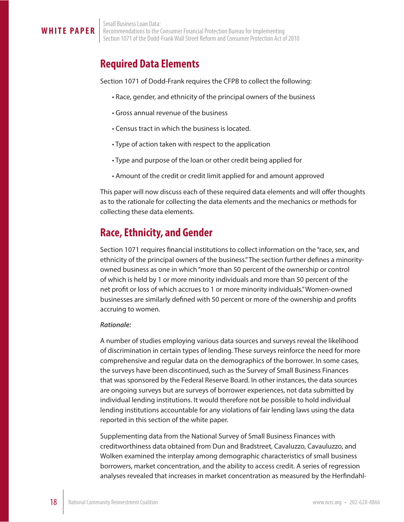<span id="page-17-0"></span>Small Business Loan Data: Recommendations to the Consumer Financial Protection Bureau for Implementing Section 1071 of the Dodd-Frank Wall Street Reform and Consumer Protection Act of 2010

# **Required Data Elements**

Section 1071 of Dodd-Frank requires the CFPB to collect the following:

- Race, gender, and ethnicity of the principal owners of the business
- Gross annual revenue of the business
- Census tract in which the business is located.
- Type of action taken with respect to the application
- Type and purpose of the loan or other credit being applied for
- Amount of the credit or credit limit applied for and amount approved

This paper will now discuss each of these required data elements and will offer thoughts as to the rationale for collecting the data elements and the mechanics or methods for collecting these data elements.

# **Race, Ethnicity, and Gender**

Section 1071 requires financial institutions to collect information on the "race, sex, and ethnicity of the principal owners of the business." The section further defines a minorityowned business as one in which "more than 50 percent of the ownership or control of which is held by 1 or more minority individuals and more than 50 percent of the net profit or loss of which accrues to 1 or more minority individuals." Women-owned businesses are similarly defined with 50 percent or more of the ownership and profits accruing to women.

#### *Rationale:*

A number of studies employing various data sources and surveys reveal the likelihood of discrimination in certain types of lending. These surveys reinforce the need for more comprehensive and regular data on the demographics of the borrower. In some cases, the surveys have been discontinued, such as the Survey of Small Business Finances that was sponsored by the Federal Reserve Board. In other instances, the data sources are ongoing surveys but are surveys of borrower experiences, not data submitted by individual lending institutions. It would therefore not be possible to hold individual lending institutions accountable for any violations of fair lending laws using the data reported in this section of the white paper.

Supplementing data from the National Survey of Small Business Finances with creditworthiness data obtained from Dun and Bradstreet, Cavaluzzo, Cavauluzzo, and Wolken examined the interplay among demographic characteristics of small business borrowers, market concentration, and the ability to access credit. A series of regression analyses revealed that increases in market concentration as measured by the Herfindahl-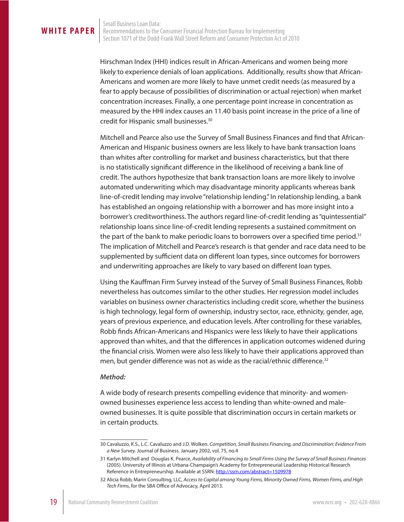Small Business Loan Data: Recommendations to the Consumer Financial Protection Bureau for Implementing Section 1071 of the Dodd-Frank Wall Street Reform and Consumer Protection Act of 2010

Hirschman Index (HHI) indices result in African-Americans and women being more likely to experience denials of loan applications. Additionally, results show that African-Americans and women are more likely to have unmet credit needs (as measured by a fear to apply because of possibilities of discrimination or actual rejection) when market concentration increases. Finally, a one percentage point increase in concentration as measured by the HHI index causes an 11.40 basis point increase in the price of a line of credit for Hispanic small businesses.30

Mitchell and Pearce also use the Survey of Small Business Finances and find that African-American and Hispanic business owners are less likely to have bank transaction loans than whites after controlling for market and business characteristics, but that there is no statistically significant difference in the likelihood of receiving a bank line of credit. The authors hypothesize that bank transaction loans are more likely to involve automated underwriting which may disadvantage minority applicants whereas bank line-of-credit lending may involve "relationship lending." In relationship lending, a bank has established an ongoing relationship with a borrower and has more insight into a borrower's creditworthiness. The authors regard line-of-credit lending as "quintessential" relationship loans since line-of-credit lending represents a sustained commitment on the part of the bank to make periodic loans to borrowers over a specified time period.<sup>31</sup> The implication of Mitchell and Pearce's research is that gender and race data need to be supplemented by sufficient data on different loan types, since outcomes for borrowers and underwriting approaches are likely to vary based on different loan types.

Using the Kauffman Firm Survey instead of the Survey of Small Business Finances, Robb nevertheless has outcomes similar to the other studies. Her regression model includes variables on business owner characteristics including credit score, whether the business is high technology, legal form of ownership, industry sector, race, ethnicity, gender, age, years of previous experience, and education levels. After controlling for these variables, Robb finds African-Americans and Hispanics were less likely to have their applications approved than whites, and that the differences in application outcomes widened during the financial crisis. Women were also less likely to have their applications approved than men, but gender difference was not as wide as the racial/ethnic difference.<sup>32</sup>

#### *Method:*

A wide body of research presents compelling evidence that minority- and womenowned businesses experience less access to lending than white-owned and maleowned businesses. It is quite possible that discrimination occurs in certain markets or in certain products.

<sup>30</sup> Cavaluzzo, K.S., L.C. Cavaluzzo and J.D. Wolken. *Competition, Small Business Financing, and Discrimination: Evidence From a New Survey.* Journal of Business. January 2002, vol. 75, no.4

<sup>31</sup> Karlyn Mitchell and Douglas K. Pearce, *Availability of Financing to Small Firms Using the Survey of Small Business Finances* (2005). University of Illinois at Urbana-Champaign's Academy for Entrepreneurial Leadership Historical Research Reference in Entrepreneurship. Available at SSRN:<http://ssrn.com/abstract=1509978>

<sup>32</sup> Alicia Robb, Marin Consulting, LLC, *Access to Capital among Young Firms, Minority Owned Firms, Women Firms, and High Tech Firms*, for the SBA Office of Advocacy, April 2013.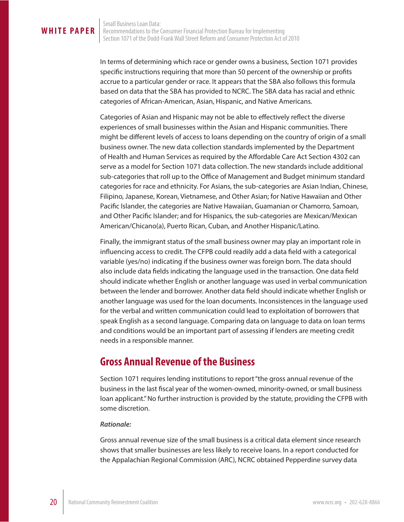<span id="page-19-0"></span>Small Business Loan Data: Recommendations to the Consumer Financial Protection Bureau for Implementing Section 1071 of the Dodd-Frank Wall Street Reform and Consumer Protection Act of 2010

In terms of determining which race or gender owns a business, Section 1071 provides specific instructions requiring that more than 50 percent of the ownership or profits accrue to a particular gender or race. It appears that the SBA also follows this formula based on data that the SBA has provided to NCRC. The SBA data has racial and ethnic categories of African-American, Asian, Hispanic, and Native Americans.

Categories of Asian and Hispanic may not be able to effectively reflect the diverse experiences of small businesses within the Asian and Hispanic communities. There might be different levels of access to loans depending on the country of origin of a small business owner. The new data collection standards implemented by the Department of Health and Human Services as required by the Affordable Care Act Section 4302 can serve as a model for Section 1071 data collection. The new standards include additional sub-categories that roll up to the Office of Management and Budget minimum standard categories for race and ethnicity. For Asians, the sub-categories are Asian Indian, Chinese, Filipino, Japanese, Korean, Vietnamese, and Other Asian; for Native Hawaiian and Other Pacific Islander, the categories are Native Hawaiian, Guamanian or Chamorro, Samoan, and Other Pacific Islander; and for Hispanics, the sub-categories are Mexican/Mexican American/Chicano(a), Puerto Rican, Cuban, and Another Hispanic/Latino.

Finally, the immigrant status of the small business owner may play an important role in influencing access to credit. The CFPB could readily add a data field with a categorical variable (yes/no) indicating if the business owner was foreign born. The data should also include data fields indicating the language used in the transaction. One data field should indicate whether English or another language was used in verbal communication between the lender and borrower. Another data field should indicate whether English or another language was used for the loan documents. Inconsistences in the language used for the verbal and written communication could lead to exploitation of borrowers that speak English as a second language. Comparing data on language to data on loan terms and conditions would be an important part of assessing if lenders are meeting credit needs in a responsible manner.

### **Gross Annual Revenue of the Business**

Section 1071 requires lending institutions to report "the gross annual revenue of the business in the last fiscal year of the women-owned, minority-owned, or small business loan applicant." No further instruction is provided by the statute, providing the CFPB with some discretion.

#### *Rationale:*

Gross annual revenue size of the small business is a critical data element since research shows that smaller businesses are less likely to receive loans. In a report conducted for the Appalachian Regional Commission (ARC), NCRC obtained Pepperdine survey data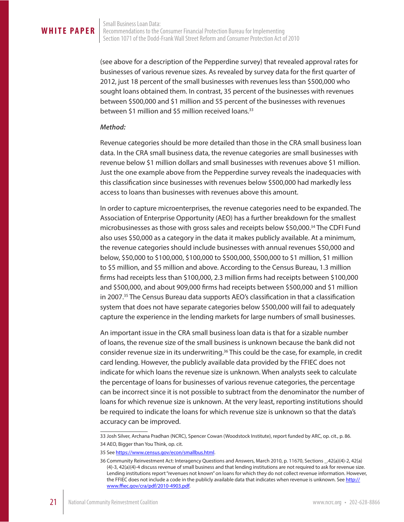Small Business Loan Data: Recommendations to the Consumer Financial Protection Bureau for Implementing Section 1071 of the Dodd-Frank Wall Street Reform and Consumer Protection Act of 2010

(see above for a description of the Pepperdine survey) that revealed approval rates for businesses of various revenue sizes. As revealed by survey data for the first quarter of 2012, just 18 percent of the small businesses with revenues less than \$500,000 who sought loans obtained them. In contrast, 35 percent of the businesses with revenues between \$500,000 and \$1 million and 55 percent of the businesses with revenues between \$1 million and \$5 million received loans.<sup>33</sup>

#### *Method:*

Revenue categories should be more detailed than those in the CRA small business loan data. In the CRA small business data, the revenue categories are small businesses with revenue below \$1 million dollars and small businesses with revenues above \$1 million. Just the one example above from the Pepperdine survey reveals the inadequacies with this classification since businesses with revenues below \$500,000 had markedly less access to loans than businesses with revenues above this amount.

In order to capture microenterprises, the revenue categories need to be expanded. The Association of Enterprise Opportunity (AEO) has a further breakdown for the smallest microbusinesses as those with gross sales and receipts below \$50,000.34 The CDFI Fund also uses \$50,000 as a category in the data it makes publicly available. At a minimum, the revenue categories should include businesses with annual revenues \$50,000 and below, \$50,000 to \$100,000, \$100,000 to \$500,000, \$500,000 to \$1 million, \$1 million to \$5 million, and \$5 million and above. According to the Census Bureau, 1.3 million firms had receipts less than \$100,000, 2.3 million firms had receipts between \$100,000 and \$500,000, and about 909,000 firms had receipts between \$500,000 and \$1 million in 2007.<sup>35</sup> The Census Bureau data supports AEO's classification in that a classification system that does not have separate categories below \$500,000 will fail to adequately capture the experience in the lending markets for large numbers of small businesses.

An important issue in the CRA small business loan data is that for a sizable number of loans, the revenue size of the small business is unknown because the bank did not consider revenue size in its underwriting.<sup>36</sup> This could be the case, for example, in credit card lending. However, the publicly available data provided by the FFIEC does not indicate for which loans the revenue size is unknown. When analysts seek to calculate the percentage of loans for businesses of various revenue categories, the percentage can be incorrect since it is not possible to subtract from the denominator the number of loans for which revenue size is unknown. At the very least, reporting institutions should be required to indicate the loans for which revenue size is unknown so that the data's accuracy can be improved.

<sup>33</sup> Josh Silver, Archana Pradhan (NCRC), Spencer Cowan (Woodstock Institute), report funded by ARC, op. cit., p. 86. 34 AEO, Bigger than You Think, op. cit.

<sup>35</sup> See [https://www.census.gov/econ/smallbus.html.](https://www.census.gov/econ/smallbus.html)

<sup>36</sup> Community Reinvestment Act: Interagency Questions and Answers, March 2010, p. 11670, Sections \_.42(a)(4)-2, 42(a) (4)-3, 42(a)(4)-4 discuss revenue of small business and that lending institutions are not required to ask for revenue size. Lending institutions report "revenues not known" on loans for which they do not collect revenue information. However, the FFIEC does not include a code in the publicly available data that indicates when revenue is unknown. See [http://](http://www.ffiec.gov/cra/pdf/2010-4903.pdf) [www.ffiec.gov/cra/pdf/2010-4903.pdf](http://www.ffiec.gov/cra/pdf/2010-4903.pdf).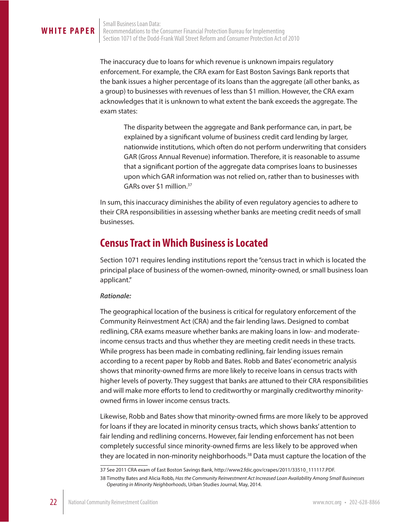<span id="page-21-0"></span>Small Business Loan Data: Recommendations to the Consumer Financial Protection Bureau for Implementing Section 1071 of the Dodd-Frank Wall Street Reform and Consumer Protection Act of 2010

The inaccuracy due to loans for which revenue is unknown impairs regulatory enforcement. For example, the CRA exam for East Boston Savings Bank reports that the bank issues a higher percentage of its loans than the aggregate (all other banks, as a group) to businesses with revenues of less than \$1 million. However, the CRA exam acknowledges that it is unknown to what extent the bank exceeds the aggregate. The exam states:

The disparity between the aggregate and Bank performance can, in part, be explained by a significant volume of business credit card lending by larger, nationwide institutions, which often do not perform underwriting that considers GAR (Gross Annual Revenue) information. Therefore, it is reasonable to assume that a significant portion of the aggregate data comprises loans to businesses upon which GAR information was not relied on, rather than to businesses with GARs over \$1 million.37

In sum, this inaccuracy diminishes the ability of even regulatory agencies to adhere to their CRA responsibilities in assessing whether banks are meeting credit needs of small businesses.

### **Census Tract in Which Business is Located**

Section 1071 requires lending institutions report the "census tract in which is located the principal place of business of the women-owned, minority-owned, or small business loan applicant."

#### *Rationale:*

The geographical location of the business is critical for regulatory enforcement of the Community Reinvestment Act (CRA) and the fair lending laws. Designed to combat redlining, CRA exams measure whether banks are making loans in low- and moderateincome census tracts and thus whether they are meeting credit needs in these tracts. While progress has been made in combating redlining, fair lending issues remain according to a recent paper by Robb and Bates. Robb and Bates' econometric analysis shows that minority-owned firms are more likely to receive loans in census tracts with higher levels of poverty. They suggest that banks are attuned to their CRA responsibilities and will make more efforts to lend to creditworthy or marginally creditworthy minorityowned firms in lower income census tracts.

Likewise, Robb and Bates show that minority-owned firms are more likely to be approved for loans if they are located in minority census tracts, which shows banks' attention to fair lending and redlining concerns. However, fair lending enforcement has not been completely successful since minority-owned firms are less likely to be approved when they are located in non-minority neighborhoods.<sup>38</sup> Data must capture the location of the

<sup>37</sup> See 2011 CRA exam of East Boston Savings Bank, http://www2.fdic.gov/crapes/2011/33510\_111117.PDF.

<sup>38</sup> Timothy Bates and Alicia Robb, *Has the Community Reinvestment Act Increased Loan Availability Among Small Businesses Operating in Minority Neighborhoods*, Urban Studies Journal, May, 2014.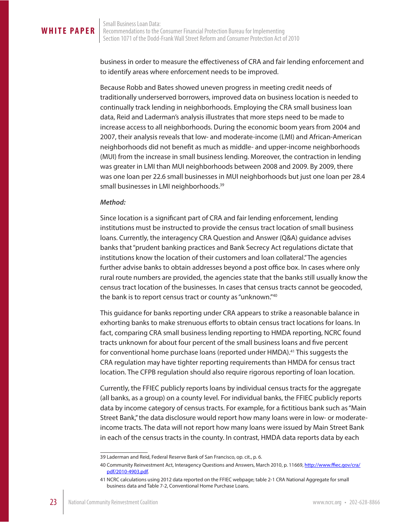business in order to measure the effectiveness of CRA and fair lending enforcement and to identify areas where enforcement needs to be improved.

Because Robb and Bates showed uneven progress in meeting credit needs of traditionally underserved borrowers, improved data on business location is needed to continually track lending in neighborhoods. Employing the CRA small business loan data, Reid and Laderman's analysis illustrates that more steps need to be made to increase access to all neighborhoods. During the economic boom years from 2004 and 2007, their analysis reveals that low- and moderate-income (LMI) and African-American neighborhoods did not benefit as much as middle- and upper-income neighborhoods (MUI) from the increase in small business lending. Moreover, the contraction in lending was greater in LMI than MUI neighborhoods between 2008 and 2009. By 2009, there was one loan per 22.6 small businesses in MUI neighborhoods but just one loan per 28.4 small businesses in LMI neighborhoods.<sup>39</sup>

#### *Method:*

Since location is a significant part of CRA and fair lending enforcement, lending institutions must be instructed to provide the census tract location of small business loans. Currently, the interagency CRA Question and Answer (Q&A) guidance advises banks that "prudent banking practices and Bank Secrecy Act regulations dictate that institutions know the location of their customers and loan collateral." The agencies further advise banks to obtain addresses beyond a post office box. In cases where only rural route numbers are provided, the agencies state that the banks still usually know the census tract location of the businesses. In cases that census tracts cannot be geocoded, the bank is to report census tract or county as "unknown."40

This guidance for banks reporting under CRA appears to strike a reasonable balance in exhorting banks to make strenuous efforts to obtain census tract locations for loans. In fact, comparing CRA small business lending reporting to HMDA reporting, NCRC found tracts unknown for about four percent of the small business loans and five percent for conventional home purchase loans (reported under HMDA).<sup>41</sup> This suggests the CRA regulation may have tighter reporting requirements than HMDA for census tract location. The CFPB regulation should also require rigorous reporting of loan location.

Currently, the FFIEC publicly reports loans by individual census tracts for the aggregate (all banks, as a group) on a county level. For individual banks, the FFIEC publicly reports data by income category of census tracts. For example, for a fictitious bank such as "Main Street Bank," the data disclosure would report how many loans were in low- or moderateincome tracts. The data will not report how many loans were issued by Main Street Bank in each of the census tracts in the county. In contrast, HMDA data reports data by each

<sup>39</sup> Laderman and Reid, Federal Reserve Bank of San Francisco, op. cit., p. 6.

<sup>40</sup> Community Reinvestment Act, Interagency Questions and Answers, March 2010, p. 11669, [http://www.ffiec.gov/cra/](http://www.ffiec.gov/cra/pdf/2010-4903.pdf) [pdf/2010-4903.pdf](http://www.ffiec.gov/cra/pdf/2010-4903.pdf).

<sup>41</sup> NCRC calculations using 2012 data reported on the FFIEC webpage; table 2-1 CRA National Aggregate for small business data and Table 7-2, Conventional Home Purchase Loans.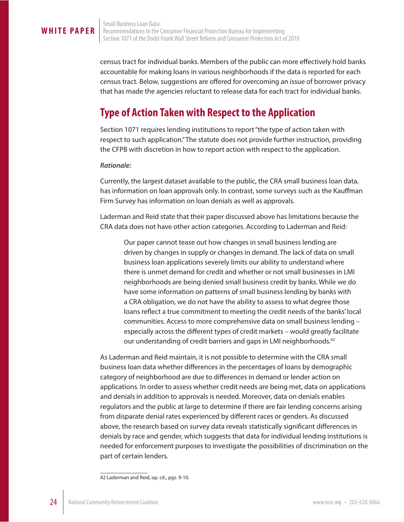<span id="page-23-0"></span>census tract for individual banks. Members of the public can more effectively hold banks accountable for making loans in various neighborhoods if the data is reported for each census tract. Below, suggestions are offered for overcoming an issue of borrower privacy that has made the agencies reluctant to release data for each tract for individual banks.

# **Type of Action Taken with Respect to the Application**

Section 1071 requires lending institutions to report "the type of action taken with respect to such application." The statute does not provide further instruction, providing the CFPB with discretion in how to report action with respect to the application.

#### *Rationale:*

Currently, the largest dataset available to the public, the CRA small business loan data, has information on loan approvals only. In contrast, some surveys such as the Kauffman Firm Survey has information on loan denials as well as approvals.

Laderman and Reid state that their paper discussed above has limitations because the CRA data does not have other action categories. According to Laderman and Reid:

Our paper cannot tease out how changes in small business lending are driven by changes in supply or changes in demand. The lack of data on small business loan applications severely limits our ability to understand where there is unmet demand for credit and whether or not small businesses in LMI neighborhoods are being denied small business credit by banks. While we do have some information on patterns of small business lending by banks with a CRA obligation, we do not have the ability to assess to what degree those loans reflect a true commitment to meeting the credit needs of the banks' local communities. Access to more comprehensive data on small business lending – especially across the different types of credit markets – would greatly facilitate our understanding of credit barriers and gaps in LMI neighborhoods.<sup>42</sup>

As Laderman and Reid maintain, it is not possible to determine with the CRA small business loan data whether differences in the percentages of loans by demographic category of neighborhood are due to differences in demand or lender action on applications. In order to assess whether credit needs are being met, data on applications and denials in addition to approvals is needed. Moreover, data on denials enables regulators and the public at large to determine if there are fair lending concerns arising from disparate denial rates experienced by different races or genders. As discussed above, the research based on survey data reveals statistically significant differences in denials by race and gender, which suggests that data for individual lending institutions is needed for enforcement purposes to investigate the possibilities of discrimination on the part of certain lenders.

<sup>42</sup> Laderman and Reid, op. cit., pgs. 9-10.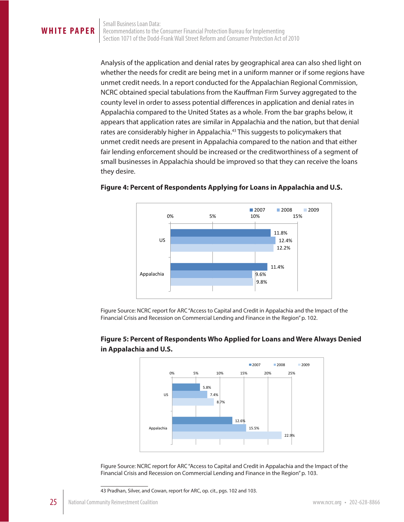Analysis of the application and denial rates by geographical area can also shed light on whether the needs for credit are being met in a uniform manner or if some regions have unmet credit needs. In a report conducted for the Appalachian Regional Commission, NCRC obtained special tabulations from the Kauffman Firm Survey aggregated to the county level in order to assess potential differences in application and denial rates in Appalachia compared to the United States as a whole. From the bar graphs below, it appears that application rates are similar in Appalachia and the nation, but that denial rates are considerably higher in Appalachia.<sup>43</sup> This suggests to policymakers that unmet credit needs are present in Appalachia compared to the nation and that either fair lending enforcement should be increased or the creditworthiness of a segment of small businesses in Appalachia should be improved so that they can receive the loans they desire.



#### **Figure 4: Percent of Respondents Applying for Loans in Appalachia and U.S.**

Figure Source: NCRC report for ARC "Access to Capital and Credit in Appalachia and the Impact of the Financial Crisis and Recession on Commercial Lending and Finance in the Region" p. 102.



### in Appalachia and U.S. **Example 20** in the set of the set of the set of the set of the set of the set of the set o Figure 5: Percent of Respondents Who Applied for Loans and Were Always Denied

Figure Source: NCRC report for ARC "Access to Capital and Credit in Appalachia and the Impact of the Financial Crisis and Recession on Commercial Lending and Finance in the Region" p. 103.

<sup>43</sup> Pradhan, Silver, and Cowan, report for ARC, op. cit., pgs. 102 and 103.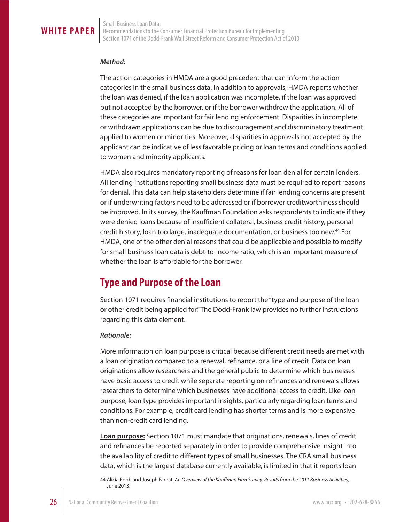#### <span id="page-25-0"></span>*Method:*

The action categories in HMDA are a good precedent that can inform the action categories in the small business data. In addition to approvals, HMDA reports whether the loan was denied, if the loan application was incomplete, if the loan was approved but not accepted by the borrower, or if the borrower withdrew the application. All of these categories are important for fair lending enforcement. Disparities in incomplete or withdrawn applications can be due to discouragement and discriminatory treatment applied to women or minorities. Moreover, disparities in approvals not accepted by the applicant can be indicative of less favorable pricing or loan terms and conditions applied to women and minority applicants.

HMDA also requires mandatory reporting of reasons for loan denial for certain lenders. All lending institutions reporting small business data must be required to report reasons for denial. This data can help stakeholders determine if fair lending concerns are present or if underwriting factors need to be addressed or if borrower creditworthiness should be improved. In its survey, the Kauffman Foundation asks respondents to indicate if they were denied loans because of insufficient collateral, business credit history, personal credit history, loan too large, inadequate documentation, or business too new.<sup>44</sup> For HMDA, one of the other denial reasons that could be applicable and possible to modify for small business loan data is debt-to-income ratio, which is an important measure of whether the loan is affordable for the borrower.

# **Type and Purpose of the Loan**

Section 1071 requires financial institutions to report the "type and purpose of the loan or other credit being applied for." The Dodd-Frank law provides no further instructions regarding this data element.

#### *Rationale:*

More information on loan purpose is critical because different credit needs are met with a loan origination compared to a renewal, refinance, or a line of credit. Data on loan originations allow researchers and the general public to determine which businesses have basic access to credit while separate reporting on refinances and renewals allows researchers to determine which businesses have additional access to credit. Like loan purpose, loan type provides important insights, particularly regarding loan terms and conditions. For example, credit card lending has shorter terms and is more expensive than non-credit card lending.

**Loan purpose:** Section 1071 must mandate that originations, renewals, lines of credit and refinances be reported separately in order to provide comprehensive insight into the availability of credit to different types of small businesses. The CRA small business data, which is the largest database currently available, is limited in that it reports loan

<sup>44</sup> Alicia Robb and Joseph Farhat, *An Overview of the Kauffman Firm Survey: Results from the 2011 Business Activities*, June 2013.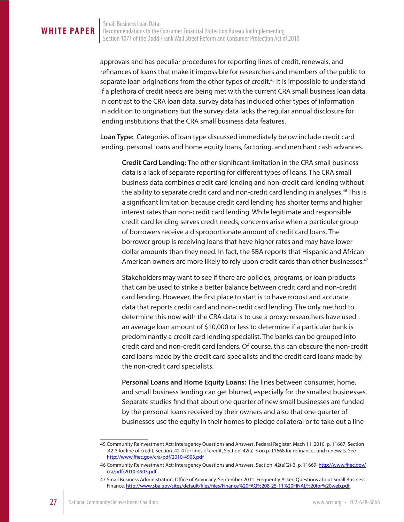Small Business Loan Data: Recommendations to the Consumer Financial Protection Bureau for Implementing Section 1071 of the Dodd-Frank Wall Street Reform and Consumer Protection Act of 2010

approvals and has peculiar procedures for reporting lines of credit, renewals, and refinances of loans that make it impossible for researchers and members of the public to separate loan originations from the other types of credit.45 It is impossible to understand if a plethora of credit needs are being met with the current CRA small business loan data. In contrast to the CRA loan data, survey data has included other types of information in addition to originations but the survey data lacks the regular annual disclosure for lending institutions that the CRA small business data features.

**Loan Type:** Categories of loan type discussed immediately below include credit card lending, personal loans and home equity loans, factoring, and merchant cash advances.

**Credit Card Lending:** The other significant limitation in the CRA small business data is a lack of separate reporting for different types of loans. The CRA small business data combines credit card lending and non-credit card lending without the ability to separate credit card and non-credit card lending in analyses.<sup>46</sup> This is a significant limitation because credit card lending has shorter terms and higher interest rates than non-credit card lending. While legitimate and responsible credit card lending serves credit needs, concerns arise when a particular group of borrowers receive a disproportionate amount of credit card loans. The borrower group is receiving loans that have higher rates and may have lower dollar amounts than they need. In fact, the SBA reports that Hispanic and African-American owners are more likely to rely upon credit cards than other businesses.<sup>47</sup>

Stakeholders may want to see if there are policies, programs, or loan products that can be used to strike a better balance between credit card and non-credit card lending. However, the first place to start is to have robust and accurate data that reports credit card and non-credit card lending. The only method to determine this now with the CRA data is to use a proxy: researchers have used an average loan amount of \$10,000 or less to determine if a particular bank is predominantly a credit card lending specialist. The banks can be grouped into credit card and non-credit card lenders. Of course, this can obscure the non-credit card loans made by the credit card specialists and the credit card loans made by the non-credit card specialists.

**Personal Loans and Home Equity Loans:** The lines between consumer, home, and small business lending can get blurred, especially for the smallest businesses. Separate studies find that about one quarter of new small businesses are funded by the personal loans received by their owners and also that one quarter of businesses use the equity in their homes to pledge collateral or to take out a line

<sup>45</sup> Community Reinvestment Act: Interagency Questions and Answers, Federal Register, Mach 11, 2010, p. 11667, Section .42-3 for line of credit, Section .42-4 for lines of credit, Section .42(a)-5 on p. 11668 for refinances and renewals. See <http://www.ffiec.gov/cra/pdf/2010-4903.pdf>

<sup>46</sup> Community Reinvestment Act: Interagency Questions and Answers, Section .42(a)(2)-3, p. 11669, [http://www.ffiec.gov/](http://www.ffiec.gov/cra/pdf/2010-4903.pdf) [cra/pdf/2010-4903.pdf.](http://www.ffiec.gov/cra/pdf/2010-4903.pdf)

<sup>47</sup> Small Business Administration, Office of Advocacy. September 2011. Frequently Asked Questions about Small Business Finance. [http://www.sba.gov/sites/default/files/files/Finance%20FAQ%208-25-11%20FINAL%20for%20web.pdf.](http://www.sba.gov/sites/default/files/files/Finance%20FAQ%208-25-11%20FINAL%20for%20web.pdf)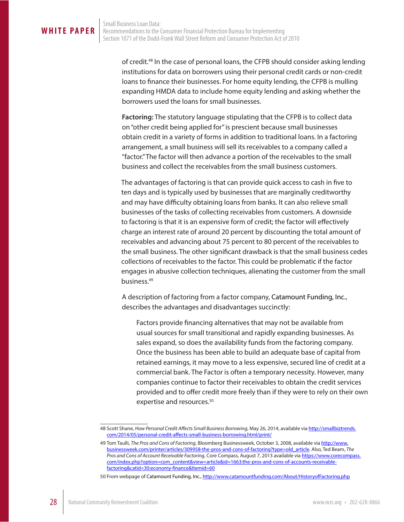Small Business Loan Data: Recommendations to the Consumer Financial Protection Bureau for Implementing Section 1071 of the Dodd-Frank Wall Street Reform and Consumer Protection Act of 2010

of credit.48 In the case of personal loans, the CFPB should consider asking lending institutions for data on borrowers using their personal credit cards or non-credit loans to finance their businesses. For home equity lending, the CFPB is mulling expanding HMDA data to include home equity lending and asking whether the borrowers used the loans for small businesses.

**Factoring:** The statutory language stipulating that the CFPB is to collect data on "other credit being applied for" is prescient because small businesses obtain credit in a variety of forms in addition to traditional loans. In a factoring arrangement, a small business will sell its receivables to a company called a "factor." The factor will then advance a portion of the receivables to the small business and collect the receivables from the small business customers.

The advantages of factoring is that can provide quick access to cash in five to ten days and is typically used by businesses that are marginally creditworthy and may have difficulty obtaining loans from banks. It can also relieve small businesses of the tasks of collecting receivables from customers. A downside to factoring is that it is an expensive form of credit; the factor will effectively charge an interest rate of around 20 percent by discounting the total amount of receivables and advancing about 75 percent to 80 percent of the receivables to the small business. The other significant drawback is that the small business cedes collections of receivables to the factor. This could be problematic if the factor engages in abusive collection techniques, alienating the customer from the small business.49

A description of factoring from a factor company, Catamount Funding, Inc., describes the advantages and disadvantages succinctly:

Factors provide financing alternatives that may not be available from usual sources for small transitional and rapidly expanding businesses. As sales expand, so does the availability funds from the factoring company. Once the business has been able to build an adequate base of capital from retained earnings, it may move to a less expensive, secured line of credit at a commercial bank. The Factor is often a temporary necessity. However, many companies continue to factor their receivables to obtain the credit services provided and to offer credit more freely than if they were to rely on their own expertise and resources.<sup>50</sup>

<sup>48</sup> Scott Shane, *How Personal Credit Affects Small Business Borrowing*, May 26, 2014, available via [http://smallbiztrends.](http://smallbiztrends.com/2014/05/personal-credit-affects-small-business-borrowing.html/print/) [com/2014/05/personal-credit-affects-small-business-borrowing.html/print/](http://smallbiztrends.com/2014/05/personal-credit-affects-small-business-borrowing.html/print/)

<sup>49</sup> Tom Taulli, *The Pros and Cons of Factoring*, Bloomberg Businessweek, October 3, 2008, available via [http://www.](http://www.businessweek.com/printer/articles/309958-the-pros-and-cons-of-factoring?type=old_article) [businessweek.com/printer/articles/309958-the-pros-and-cons-of-factoring?type=old\\_article.](http://www.businessweek.com/printer/articles/309958-the-pros-and-cons-of-factoring?type=old_article) Also, Ted Beam, *The Pros and Cons of Account Receivable Factoring*, Core Compass, August 7, 2013 available via [https://www.corecompass.](https://www.corecompass.com/index.php?option=com_content&view=article&id=1663:the-pros-and-cons-of-accounts-receivable-factoring&catid=30:economy-finance&Itemid=60) [com/index.php?option=com\\_content&view=article&id=1663:the-pros-and-cons-of-accounts-receivable](https://www.corecompass.com/index.php?option=com_content&view=article&id=1663:the-pros-and-cons-of-accounts-receivable-factoring&catid=30:economy-finance&Itemid=60)[factoring&catid=30:economy-finance&Itemid=60](https://www.corecompass.com/index.php?option=com_content&view=article&id=1663:the-pros-and-cons-of-accounts-receivable-factoring&catid=30:economy-finance&Itemid=60)

<sup>50</sup> From webpage of Catamount Funding, Inc.,<http://www.catamountfunding.com/About/HistoryofFactoring.php>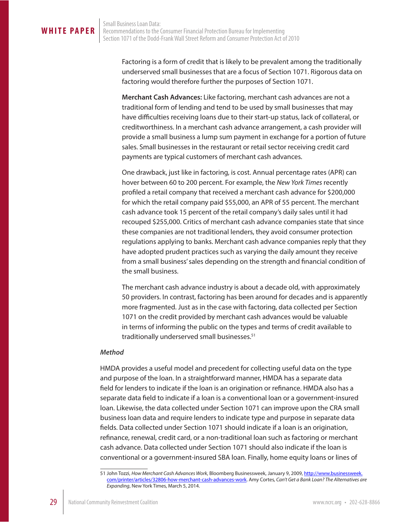Factoring is a form of credit that is likely to be prevalent among the traditionally underserved small businesses that are a focus of Section 1071. Rigorous data on factoring would therefore further the purposes of Section 1071.

**Merchant Cash Advances:** Like factoring, merchant cash advances are not a traditional form of lending and tend to be used by small businesses that may have difficulties receiving loans due to their start-up status, lack of collateral, or creditworthiness. In a merchant cash advance arrangement, a cash provider will provide a small business a lump sum payment in exchange for a portion of future sales. Small businesses in the restaurant or retail sector receiving credit card payments are typical customers of merchant cash advances.

One drawback, just like in factoring, is cost. Annual percentage rates (APR) can hover between 60 to 200 percent. For example, the *New York Times* recently profiled a retail company that received a merchant cash advance for \$200,000 for which the retail company paid \$55,000, an APR of 55 percent. The merchant cash advance took 15 percent of the retail company's daily sales until it had recouped \$255,000. Critics of merchant cash advance companies state that since these companies are not traditional lenders, they avoid consumer protection regulations applying to banks. Merchant cash advance companies reply that they have adopted prudent practices such as varying the daily amount they receive from a small business' sales depending on the strength and financial condition of the small business.

The merchant cash advance industry is about a decade old, with approximately 50 providers. In contrast, factoring has been around for decades and is apparently more fragmented. Just as in the case with factoring, data collected per Section 1071 on the credit provided by merchant cash advances would be valuable in terms of informing the public on the types and terms of credit available to traditionally underserved small businesses.<sup>51</sup>

#### *Method*

HMDA provides a useful model and precedent for collecting useful data on the type and purpose of the loan. In a straightforward manner, HMDA has a separate data field for lenders to indicate if the loan is an origination or refinance. HMDA also has a separate data field to indicate if a loan is a conventional loan or a government-insured loan. Likewise, the data collected under Section 1071 can improve upon the CRA small business loan data and require lenders to indicate type and purpose in separate data fields. Data collected under Section 1071 should indicate if a loan is an origination, refinance, renewal, credit card, or a non-traditional loan such as factoring or merchant cash advance. Data collected under Section 1071 should also indicate if the loan is conventional or a government-insured SBA loan. Finally, home equity loans or lines of

<sup>51</sup> John Tozzi, *How Merchant Cash Advances Work*, Bloomberg Businessweek, January 9, 2009, [http://www.businessweek.](http://www.businessweek.com/printer/articles/32806-how-merchant-cash-advances-work) [com/printer/articles/32806-how-merchant-cash-advances-work.](http://www.businessweek.com/printer/articles/32806-how-merchant-cash-advances-work) Amy Cortes*, Can't Get a Bank Loan? The Alternatives are Expanding*, New York Times, March 5, 2014.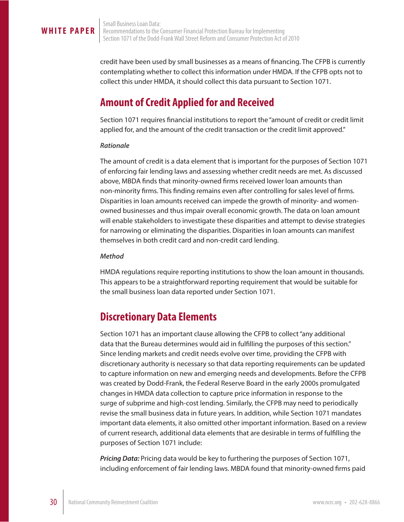<span id="page-29-0"></span>credit have been used by small businesses as a means of financing. The CFPB is currently contemplating whether to collect this information under HMDA. If the CFPB opts not to collect this under HMDA, it should collect this data pursuant to Section 1071.

# **Amount of Credit Applied for and Received**

Section 1071 requires financial institutions to report the "amount of credit or credit limit applied for, and the amount of the credit transaction or the credit limit approved."

#### *Rationale*

The amount of credit is a data element that is important for the purposes of Section 1071 of enforcing fair lending laws and assessing whether credit needs are met. As discussed above, MBDA finds that minority-owned firms received lower loan amounts than non-minority firms. This finding remains even after controlling for sales level of firms. Disparities in loan amounts received can impede the growth of minority- and womenowned businesses and thus impair overall economic growth. The data on loan amount will enable stakeholders to investigate these disparities and attempt to devise strategies for narrowing or eliminating the disparities. Disparities in loan amounts can manifest themselves in both credit card and non-credit card lending.

#### *Method*

HMDA regulations require reporting institutions to show the loan amount in thousands. This appears to be a straightforward reporting requirement that would be suitable for the small business loan data reported under Section 1071.

# **Discretionary Data Elements**

Section 1071 has an important clause allowing the CFPB to collect "any additional data that the Bureau determines would aid in fulfilling the purposes of this section." Since lending markets and credit needs evolve over time, providing the CFPB with discretionary authority is necessary so that data reporting requirements can be updated to capture information on new and emerging needs and developments. Before the CFPB was created by Dodd-Frank, the Federal Reserve Board in the early 2000s promulgated changes in HMDA data collection to capture price information in response to the surge of subprime and high-cost lending. Similarly, the CFPB may need to periodically revise the small business data in future years. In addition, while Section 1071 mandates important data elements, it also omitted other important information. Based on a review of current research, additional data elements that are desirable in terms of fulfilling the purposes of Section 1071 include:

*Pricing Data:* Pricing data would be key to furthering the purposes of Section 1071, including enforcement of fair lending laws. MBDA found that minority-owned firms paid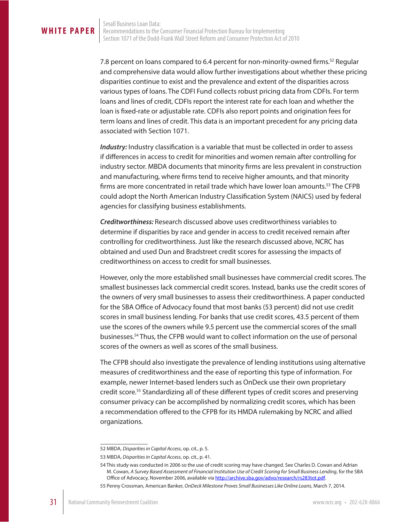Small Business Loan Data: Recommendations to the Consumer Financial Protection Bureau for Implementing Section 1071 of the Dodd-Frank Wall Street Reform and Consumer Protection Act of 2010

7.8 percent on loans compared to 6.4 percent for non-minority-owned firms.<sup>52</sup> Regular and comprehensive data would allow further investigations about whether these pricing disparities continue to exist and the prevalence and extent of the disparities across various types of loans. The CDFI Fund collects robust pricing data from CDFIs. For term loans and lines of credit, CDFIs report the interest rate for each loan and whether the loan is fixed-rate or adjustable rate. CDFIs also report points and origination fees for term loans and lines of credit. This data is an important precedent for any pricing data associated with Section 1071.

*Industry:* Industry classification is a variable that must be collected in order to assess if differences in access to credit for minorities and women remain after controlling for industry sector. MBDA documents that minority firms are less prevalent in construction and manufacturing, where firms tend to receive higher amounts, and that minority firms are more concentrated in retail trade which have lower loan amounts.<sup>53</sup> The CFPB could adopt the North American Industry Classification System (NAICS) used by federal agencies for classifying business establishments.

*Creditworthiness:* Research discussed above uses creditworthiness variables to determine if disparities by race and gender in access to credit received remain after controlling for creditworthiness. Just like the research discussed above, NCRC has obtained and used Dun and Bradstreet credit scores for assessing the impacts of creditworthiness on access to credit for small businesses.

However, only the more established small businesses have commercial credit scores. The smallest businesses lack commercial credit scores. Instead, banks use the credit scores of the owners of very small businesses to assess their creditworthiness. A paper conducted for the SBA Office of Advocacy found that most banks (53 percent) did not use credit scores in small business lending. For banks that use credit scores, 43.5 percent of them use the scores of the owners while 9.5 percent use the commercial scores of the small businesses.54 Thus, the CFPB would want to collect information on the use of personal scores of the owners as well as scores of the small business.

The CFPB should also investigate the prevalence of lending institutions using alternative measures of creditworthiness and the ease of reporting this type of information. For example, newer Internet-based lenders such as OnDeck use their own proprietary credit score.55 Standardizing all of these different types of credit scores and preserving consumer privacy can be accomplished by normalizing credit scores, which has been a recommendation offered to the CFPB for its HMDA rulemaking by NCRC and allied organizations.

55 Penny Crossman, American Banker, *OnDeck Milestone Proves Small Businesses Like Online Loans*, March 7, 2014.

<sup>52</sup> MBDA, *Disparities in Capital Access*, op. cit., p. 5.

<sup>53</sup> MBDA, *Disparities in Capital Access*, op. cit., p. 41.

<sup>54</sup> This study was conducted in 2006 so the use of credit scoring may have changed. See Charles D. Cowan and Adrian M. Cowan, *A Survey Based Assessment of Financial Institution Use of Credit Scoring for Small Business Lending*, for the SBA Office of Advocacy, November 2006, available via [http://archive.sba.gov/advo/research/rs283tot.pdf.](http://archive.sba.gov/advo/research/rs283tot.pdf)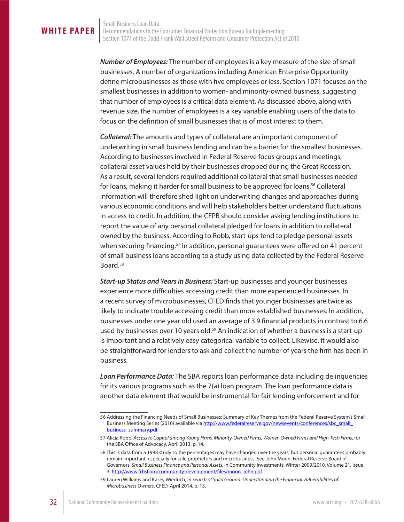Small Business Loan Data: Recommendations to the Consumer Financial Protection Bureau for Implementing Section 1071 of the Dodd-Frank Wall Street Reform and Consumer Protection Act of 2010

*Number of Employees:* The number of employees is a key measure of the size of small businesses. A number of organizations including American Enterprise Opportunity define microbusinesses as those with five employees or less. Section 1071 focuses on the smallest businesses in addition to women- and minority-owned business, suggesting that number of employees is a critical data element. As discussed above, along with revenue size, the number of employees is a key variable enabling users of the data to focus on the definition of small businesses that is of most interest to them.

*Collateral:* The amounts and types of collateral are an important component of underwriting in small business lending and can be a barrier for the smallest businesses. According to businesses involved in Federal Reserve focus groups and meetings, collateral asset values held by their businesses dropped during the Great Recession. As a result, several lenders required additional collateral that small businesses needed for loans, making it harder for small business to be approved for loans.56 Collateral information will therefore shed light on underwriting changes and approaches during various economic conditions and will help stakeholders better understand fluctuations in access to credit. In addition, the CFPB should consider asking lending institutions to report the value of any personal collateral pledged for loans in addition to collateral owned by the business. According to Robb, start-ups tend to pledge personal assets when securing financing.<sup>57</sup> In addition, personal guarantees were offered on 41 percent of small business loans according to a study using data collected by the Federal Reserve Board.<sup>58</sup>

*Start-up Status and Years in Business:* Start-up businesses and younger businesses experience more difficulties accessing credit than more experienced businesses. In a recent survey of microbusinesses, CFED finds that younger businesses are twice as likely to indicate trouble accessing credit than more established businesses. In addition, businesses under one year old used an average of 3.9 financial products in contrast to 6.6 used by businesses over 10 years old.<sup>59</sup> An indication of whether a business is a start-up is important and a relatively easy categorical variable to collect. Likewise, it would also be straightforward for lenders to ask and collect the number of years the firm has been in business.

*Loan Performance Data:* The SBA reports loan performance data including delinquencies for its various programs such as the 7(a) loan program. The loan performance data is another data element that would be instrumental for fair lending enforcement and for

<sup>56</sup> Addressing the Financing Needs of Small Businesses: Summary of Key Themes from the Federal Reserve System's Small Business Meeting Series (2010) available via [http://www.federalreserve.gov/newsevents/conferences/sbc\\_small\\_](http://www.federalreserve.gov/newsevents/conferences/sbc_small_business_summary.pdf) [business\\_summary.pdf.](http://www.federalreserve.gov/newsevents/conferences/sbc_small_business_summary.pdf)

<sup>57</sup> Alicia Robb, *Access to Capital among Young Firms, Minority-Owned Firms, Women Owned Firms and High-Tech Firms*, for the SBA Office of Advocacy, April 2013, p. 14.

<sup>58</sup> This is data from a 1998 study so the percentages may have changed over the years, but personal guarantees probably remain important, especially for sole proprietors and microbusiness. See John Moon, Federal Reserve Board of Governors, *Small Business Finance and Personal Assets,* in Community Investments, Winter 2009/2010, Volume 21, Issue 3, [http://www.frbsf.org/community-development/files/moon\\_john.pdf](http://www.frbsf.org/community-development/files/moon_john.pdf).

<sup>59</sup> Lauren Williams and Kasey Wiedrich, *In Search of Solid Ground: Understanding the Financial Vulnerabilities of Microbusiness Owners*, CFED, April 2014, p. 13.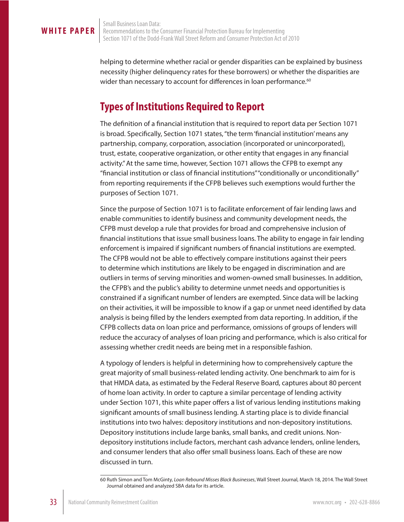<span id="page-32-0"></span>helping to determine whether racial or gender disparities can be explained by business necessity (higher delinquency rates for these borrowers) or whether the disparities are wider than necessary to account for differences in loan performance.<sup>60</sup>

# **Types of Institutions Required to Report**

The definition of a financial institution that is required to report data per Section 1071 is broad. Specifically, Section 1071 states, "the term 'financial institution' means any partnership, company, corporation, association (incorporated or unincorporated), trust, estate, cooperative organization, or other entity that engages in any financial activity." At the same time, however, Section 1071 allows the CFPB to exempt any "financial institution or class of financial institutions" "conditionally or unconditionally" from reporting requirements if the CFPB believes such exemptions would further the purposes of Section 1071.

Since the purpose of Section 1071 is to facilitate enforcement of fair lending laws and enable communities to identify business and community development needs, the CFPB must develop a rule that provides for broad and comprehensive inclusion of financial institutions that issue small business loans. The ability to engage in fair lending enforcement is impaired if significant numbers of financial institutions are exempted. The CFPB would not be able to effectively compare institutions against their peers to determine which institutions are likely to be engaged in discrimination and are outliers in terms of serving minorities and women-owned small businesses. In addition, the CFPB's and the public's ability to determine unmet needs and opportunities is constrained if a significant number of lenders are exempted. Since data will be lacking on their activities, it will be impossible to know if a gap or unmet need identified by data analysis is being filled by the lenders exempted from data reporting. In addition, if the CFPB collects data on loan price and performance, omissions of groups of lenders will reduce the accuracy of analyses of loan pricing and performance, which is also critical for assessing whether credit needs are being met in a responsible fashion.

A typology of lenders is helpful in determining how to comprehensively capture the great majority of small business-related lending activity. One benchmark to aim for is that HMDA data, as estimated by the Federal Reserve Board, captures about 80 percent of home loan activity. In order to capture a similar percentage of lending activity under Section 1071, this white paper offers a list of various lending institutions making significant amounts of small business lending. A starting place is to divide financial institutions into two halves: depository institutions and non-depository institutions. Depository institutions include large banks, small banks, and credit unions. Nondepository institutions include factors, merchant cash advance lenders, online lenders, and consumer lenders that also offer small business loans. Each of these are now discussed in turn.

<sup>60</sup> Ruth Simon and Tom McGinty, *Loan Rebound Misses Black Businesses*, Wall Street Journal, March 18, 2014. The Wall Street Journal obtained and analyzed SBA data for its article.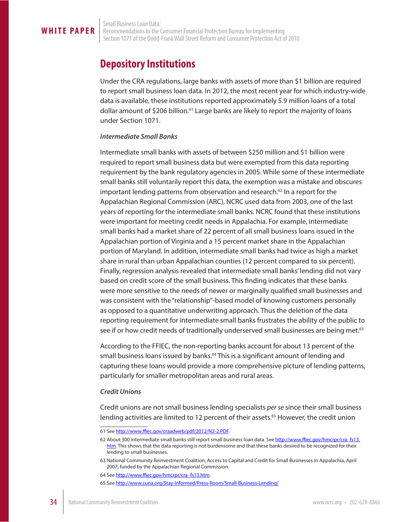<span id="page-33-0"></span>Small Business Loan Data: Recommendations to the Consumer Financial Protection Bureau for Implementing Section 1071 of the Dodd-Frank Wall Street Reform and Consumer Protection Act of 2010

# **Depository Institutions**

Under the CRA regulations, large banks with assets of more than \$1 billion are required to report small business loan data. In 2012, the most recent year for which industry-wide data is available, these institutions reported approximately 5.9 million loans of a total dollar amount of \$206 billion.<sup>61</sup> Large banks are likely to report the majority of loans under Section 1071.

#### *Intermediate Small Banks*

Intermediate small banks with assets of between \$250 million and \$1 billion were required to report small business data but were exempted from this data reporting requirement by the bank regulatory agencies in 2005. While some of these intermediate small banks still voluntarily report this data, the exemption was a mistake and obscures important lending patterns from observation and research.<sup>62</sup> In a report for the Appalachian Regional Commission (ARC), NCRC used data from 2003, one of the last years of reporting for the intermediate small banks. NCRC found that these institutions were important for meeting credit needs in Appalachia. For example, intermediate small banks had a market share of 22 percent of all small business loans issued in the Appalachian portion of Virginia and a 15 percent market share in the Appalachian portion of Maryland. In addition, intermediate small banks had twice as high a market share in rural than urban Appalachian counties (12 percent compared to six percent). Finally, regression analysis revealed that intermediate small banks' lending did not vary based on credit score of the small business. This finding indicates that these banks were more sensitive to the needs of newer or marginally qualified small businesses and was consistent with the "relationship"-based model of knowing customers personally as opposed to a quantitative underwriting approach. Thus the deletion of the data reporting requirement for intermediate small banks frustrates the ability of the public to see if or how credit needs of traditionally underserved small businesses are being met.<sup>63</sup>

According to the FFIEC, the non-reporting banks account for about 13 percent of the small business loans issued by banks.<sup>64</sup> This is a significant amount of lending and capturing these loans would provide a more comprehensive picture of lending patterns, particularly for smaller metropolitan areas and rural areas.

#### *Credit Unions*

Credit unions are not small business lending specialists *per se* since their small business lending activities are limited to 12 percent of their assets.<sup>65</sup> However, the credit union

<sup>61</sup> See <http://www.ffiec.gov/craadweb/pdf/2012/N2-2.PDF>.

<sup>62</sup> About 300 intermediate small banks still report small business loan data. See [http://www.ffiec.gov/hmcrpr/cra\\_fs13.](http://www.ffiec.gov/hmcrpr/cra_fs13.htm) [htm.](http://www.ffiec.gov/hmcrpr/cra_fs13.htm) This shows that the data reporting is not burdensome and that these banks desired to be recognized for their lending to small businesses.

<sup>63</sup> National Community Reinvestment Coalition, Access to Capital and Credit for Small Businesses in Appalachia, April 2007, funded by the Appalachian Regional Commission.

<sup>64</sup> See [http://www.ffiec.gov/hmcrpr/cra\\_fs13.htm.](http://www.ffiec.gov/hmcrpr/cra_fs13.htm)

<sup>65</sup> See <http://www.cuna.org/Stay-Informed/Press-Room/Small-Business-Lending/>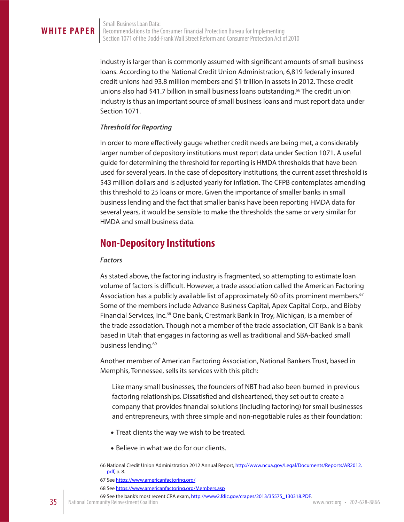<span id="page-34-0"></span>Small Business Loan Data: Recommendations to the Consumer Financial Protection Bureau for Implementing Section 1071 of the Dodd-Frank Wall Street Reform and Consumer Protection Act of 2010

industry is larger than is commonly assumed with significant amounts of small business loans. According to the National Credit Union Administration, 6,819 federally insured credit unions had 93.8 million members and \$1 trillion in assets in 2012. These credit unions also had \$41.7 billion in small business loans outstanding.<sup>66</sup> The credit union industry is thus an important source of small business loans and must report data under Section 1071.

#### *Threshold for Reporting*

In order to more effectively gauge whether credit needs are being met, a considerably larger number of depository institutions must report data under Section 1071. A useful guide for determining the threshold for reporting is HMDA thresholds that have been used for several years. In the case of depository institutions, the current asset threshold is \$43 million dollars and is adjusted yearly for inflation. The CFPB contemplates amending this threshold to 25 loans or more. Given the importance of smaller banks in small business lending and the fact that smaller banks have been reporting HMDA data for several years, it would be sensible to make the thresholds the same or very similar for HMDA and small business data.

### **Non-Depository Institutions**

#### *Factors*

As stated above, the factoring industry is fragmented, so attempting to estimate loan volume of factors is difficult. However, a trade association called the American Factoring Association has a publicly available list of approximately 60 of its prominent members.<sup>67</sup> Some of the members include Advance Business Capital, Apex Capital Corp., and Bibby Financial Services, Inc.<sup>68</sup> One bank, Crestmark Bank in Troy, Michigan, is a member of the trade association. Though not a member of the trade association, CIT Bank is a bank based in Utah that engages in factoring as well as traditional and SBA-backed small business lending.69

Another member of American Factoring Association, National Bankers Trust, based in Memphis, Tennessee, sells its services with this pitch:

Like many small businesses, the founders of NBT had also been burned in previous factoring relationships. Dissatisfied and disheartened, they set out to create a company that provides financial solutions (including factoring) for small businesses and entrepreneurs, with three simple and non-negotiable rules as their foundation:

- Treat clients the way we wish to be treated.
- Believe in what we do for our clients.

69 See the bank's most recent CRA exam, [http://www2.fdic.gov/crapes/2013/35575\\_130318.PDF](http://www2.fdic.gov/crapes/2013/35575_130318.PDF).

<sup>66</sup> National Credit Union Administration 2012 Annual Report, [http://www.ncua.gov/Legal/Documents/Reports/AR2012.](http://www.ncua.gov/Legal/Documents/Reports/AR2012.pdf) [pdf](http://www.ncua.gov/Legal/Documents/Reports/AR2012.pdf), p. 8.

<sup>67</sup> See <https://www.americanfactoring.org/>

<sup>68</sup> See <https://www.americanfactoring.org/Members.asp>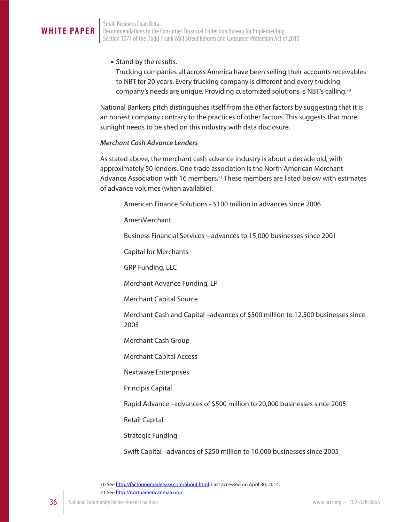Small Business Loan Data: Recommendations to the Consumer Financial Protection Bureau for Implementing Section 1071 of the Dodd-Frank Wall Street Reform and Consumer Protection Act of 2010

• Stand by the results.

Trucking companies all across America have been selling their accounts receivables to NBT for 20 years. Every trucking company is different and every trucking company's needs are unique. Providing customized solutions is NBT's calling.70

National Bankers pitch distinguishes itself from the other factors by suggesting that it is an honest company contrary to the practices of other factors. This suggests that more sunlight needs to be shed on this industry with data disclosure.

#### *Merchant Cash Advance Lenders*

As stated above, the merchant cash advance industry is about a decade old, with approximately 50 lenders. One trade association is the North American Merchant Advance Association with 16 members.71 These members are listed below with estimates of advance volumes (when available):

American Finance Solutions - \$100 million in advances since 2006

AmeriMerchant

Business Financial Services – advances to 15,000 businesses since 2001

Capital for Merchants

GRP Funding, LLC

Merchant Advance Funding, LP

Merchant Capital Source

Merchant Cash and Capital –advances of \$500 million to 12,500 businesses since 2005

Merchant Cash Group

Merchant Capital Access

Nextwave Enterprises

Principis Capital

Rapid Advance –advances of \$500 million to 20,000 businesses since 2005

Retail Capital

Strategic Funding

Swift Capital –advances of \$250 million to 10,000 businesses since 2005

<sup>70</sup> See [http://factoringmadeeasy.com/about.html.](http://factoringmadeeasy.com/about.html) Last accessed on April 30, 2014. 71 See <http://northamericanmaa.org/>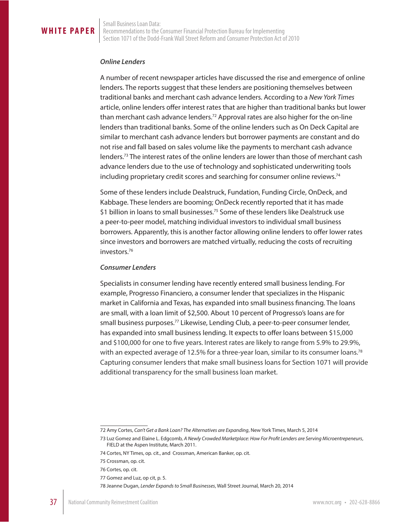Small Business Loan Data: Recommendations to the Consumer Financial Protection Bureau for Implementing Section 1071 of the Dodd-Frank Wall Street Reform and Consumer Protection Act of 2010

#### *Online Lenders*

A number of recent newspaper articles have discussed the rise and emergence of online lenders. The reports suggest that these lenders are positioning themselves between traditional banks and merchant cash advance lenders. According to a *New York Times* article, online lenders offer interest rates that are higher than traditional banks but lower than merchant cash advance lenders.72 Approval rates are also higher for the on-line lenders than traditional banks. Some of the online lenders such as On Deck Capital are similar to merchant cash advance lenders but borrower payments are constant and do not rise and fall based on sales volume like the payments to merchant cash advance lenders.73 The interest rates of the online lenders are lower than those of merchant cash advance lenders due to the use of technology and sophisticated underwriting tools including proprietary credit scores and searching for consumer online reviews.<sup>74</sup>

Some of these lenders include Dealstruck, Fundation, Funding Circle, OnDeck, and Kabbage. These lenders are booming; OnDeck recently reported that it has made \$1 billion in loans to small businesses.<sup>75</sup> Some of these lenders like Dealstruck use a peer-to-peer model, matching individual investors to individual small business borrowers. Apparently, this is another factor allowing online lenders to offer lower rates since investors and borrowers are matched virtually, reducing the costs of recruiting investors.76

#### *Consumer Lenders*

Specialists in consumer lending have recently entered small business lending. For example, Progresso Financiero, a consumer lender that specializes in the Hispanic market in California and Texas, has expanded into small business financing. The loans are small, with a loan limit of \$2,500. About 10 percent of Progresso's loans are for small business purposes.<sup>77</sup> Likewise, Lending Club, a peer-to-peer consumer lender, has expanded into small business lending. It expects to offer loans between \$15,000 and \$100,000 for one to five years. Interest rates are likely to range from 5.9% to 29.9%, with an expected average of 12.5% for a three-year loan, similar to its consumer loans.<sup>78</sup> Capturing consumer lenders that make small business loans for Section 1071 will provide additional transparency for the small business loan market.

<sup>72</sup> Amy Cortes, *Can't Get a Bank Loan? The Alternatives are Expanding*, New York Times, March 5, 2014

<sup>73</sup> Luz Gomez and Elaine L. Edgcomb*, A Newly Crowded Marketplace: How For Profit Lenders are Serving Microentrepeneurs*, FIELD at the Aspen Institute, March 2011.

<sup>74</sup> Cortes, NY Times, op. cit., and Crossman, American Banker, op. cit.

<sup>75</sup> Crossman, op. cit.

<sup>76</sup> Cortes, op. cit.

<sup>77</sup> Gomez and Luz, op cit, p. 5.

<sup>78</sup> Jeanne Dugan, *Lender Expands to Small Businesses*, Wall Street Journal, March 20, 2014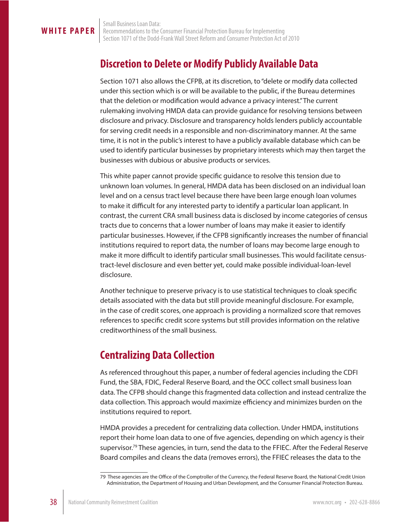# <span id="page-37-0"></span>**Discretion to Delete or Modify Publicly Available Data**

Section 1071 also allows the CFPB, at its discretion, to "delete or modify data collected under this section which is or will be available to the public, if the Bureau determines that the deletion or modification would advance a privacy interest." The current rulemaking involving HMDA data can provide guidance for resolving tensions between disclosure and privacy. Disclosure and transparency holds lenders publicly accountable for serving credit needs in a responsible and non-discriminatory manner. At the same time, it is not in the public's interest to have a publicly available database which can be used to identify particular businesses by proprietary interests which may then target the businesses with dubious or abusive products or services.

This white paper cannot provide specific guidance to resolve this tension due to unknown loan volumes. In general, HMDA data has been disclosed on an individual loan level and on a census tract level because there have been large enough loan volumes to make it difficult for any interested party to identify a particular loan applicant. In contrast, the current CRA small business data is disclosed by income categories of census tracts due to concerns that a lower number of loans may make it easier to identify particular businesses. However, if the CFPB significantly increases the number of financial institutions required to report data, the number of loans may become large enough to make it more difficult to identify particular small businesses. This would facilitate censustract-level disclosure and even better yet, could make possible individual-loan-level disclosure.

Another technique to preserve privacy is to use statistical techniques to cloak specific details associated with the data but still provide meaningful disclosure. For example, in the case of credit scores, one approach is providing a normalized score that removes references to specific credit score systems but still provides information on the relative creditworthiness of the small business.

# **Centralizing Data Collection**

As referenced throughout this paper, a number of federal agencies including the CDFI Fund, the SBA, FDIC, Federal Reserve Board, and the OCC collect small business loan data. The CFPB should change this fragmented data collection and instead centralize the data collection. This approach would maximize efficiency and minimizes burden on the institutions required to report.

HMDA provides a precedent for centralizing data collection. Under HMDA, institutions report their home loan data to one of five agencies, depending on which agency is their supervisor.<sup>79</sup> These agencies, in turn, send the data to the FFIEC. After the Federal Reserve Board compiles and cleans the data (removes errors), the FFIEC releases the data to the

<sup>79</sup> These agencies are the Office of the Comptroller of the Currency, the Federal Reserve Board, the National Credit Union Administration, the Department of Housing and Urban Development, and the Consumer Financial Protection Bureau.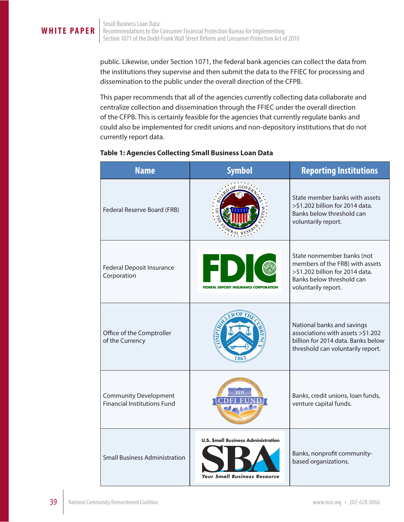public. Likewise, under Section 1071, the federal bank agencies can collect the data from the institutions they supervise and then submit the data to the FFIEC for processing and dissemination to the public under the overall direction of the CFPB.

This paper recommends that all of the agencies currently collecting data collaborate and centralize collection and dissemination through the FFIEC under the overall direction of the CFPB. This is certainly feasible for the agencies that currently regulate banks and could also be implemented for credit unions and non-depository institutions that do not currently report data.

| <b>Name</b>                                                        | <b>Symbol</b>                                                                    | <b>Reporting Institutions</b>                                                                                                                        |
|--------------------------------------------------------------------|----------------------------------------------------------------------------------|------------------------------------------------------------------------------------------------------------------------------------------------------|
| Federal Reserve Board (FRB)                                        |                                                                                  | State member banks with assets<br>>\$1.202 billion for 2014 data.<br>Banks below threshold can<br>voluntarily report.                                |
| Federal Deposit Insurance<br>Corporation                           | <b>FEDERAL DEPOSIT INSURANCE CORPORATION</b>                                     | State nonmember banks (not<br>members of the FRB) with assets<br>>\$1.202 billion for 2014 data.<br>Banks below threshold can<br>voluntarily report. |
| Office of the Comptroller<br>of the Currency                       |                                                                                  | National banks and savings<br>associations with assets > \$1.202<br>billion for 2014 data. Banks below<br>threshold can voluntarily report.          |
| <b>Community Development</b><br><b>Financial Institutions Fund</b> |                                                                                  | Banks, credit unions, loan funds,<br>venture capital funds.                                                                                          |
| <b>Small Business Administration</b>                               | <b>U.S. Small Business Administration</b><br><b>Your Small Business Resource</b> | Banks, nonprofit community-<br>based organizations.                                                                                                  |

#### **Table 1: Agencies Collecting Small Business Loan Data**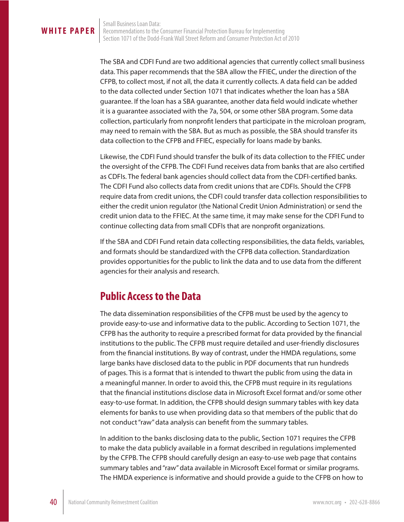<span id="page-39-0"></span>Small Business Loan Data: Recommendations to the Consumer Financial Protection Bureau for Implementing Section 1071 of the Dodd-Frank Wall Street Reform and Consumer Protection Act of 2010

The SBA and CDFI Fund are two additional agencies that currently collect small business data. This paper recommends that the SBA allow the FFIEC, under the direction of the CFPB, to collect most, if not all, the data it currently collects. A data field can be added to the data collected under Section 1071 that indicates whether the loan has a SBA guarantee. If the loan has a SBA guarantee, another data field would indicate whether it is a guarantee associated with the 7a, 504, or some other SBA program. Some data collection, particularly from nonprofit lenders that participate in the microloan program, may need to remain with the SBA. But as much as possible, the SBA should transfer its data collection to the CFPB and FFIEC, especially for loans made by banks.

Likewise, the CDFI Fund should transfer the bulk of its data collection to the FFIEC under the oversight of the CFPB. The CDFI Fund receives data from banks that are also certified as CDFIs. The federal bank agencies should collect data from the CDFI-certified banks. The CDFI Fund also collects data from credit unions that are CDFIs. Should the CFPB require data from credit unions, the CDFI could transfer data collection responsibilities to either the credit union regulator (the National Credit Union Administration) or send the credit union data to the FFIEC. At the same time, it may make sense for the CDFI Fund to continue collecting data from small CDFIs that are nonprofit organizations.

If the SBA and CDFI Fund retain data collecting responsibilities, the data fields, variables, and formats should be standardized with the CFPB data collection. Standardization provides opportunities for the public to link the data and to use data from the different agencies for their analysis and research.

### **Public Access to the Data**

The data dissemination responsibilities of the CFPB must be used by the agency to provide easy-to-use and informative data to the public. According to Section 1071, the CFPB has the authority to require a prescribed format for data provided by the financial institutions to the public. The CFPB must require detailed and user-friendly disclosures from the financial institutions. By way of contrast, under the HMDA regulations, some large banks have disclosed data to the public in PDF documents that run hundreds of pages. This is a format that is intended to thwart the public from using the data in a meaningful manner. In order to avoid this, the CFPB must require in its regulations that the financial institutions disclose data in Microsoft Excel format and/or some other easy-to-use format. In addition, the CFPB should design summary tables with key data elements for banks to use when providing data so that members of the public that do not conduct "raw" data analysis can benefit from the summary tables.

In addition to the banks disclosing data to the public, Section 1071 requires the CFPB to make the data publicly available in a format described in regulations implemented by the CFPB. The CFPB should carefully design an easy-to-use web page that contains summary tables and "raw" data available in Microsoft Excel format or similar programs. The HMDA experience is informative and should provide a guide to the CFPB on how to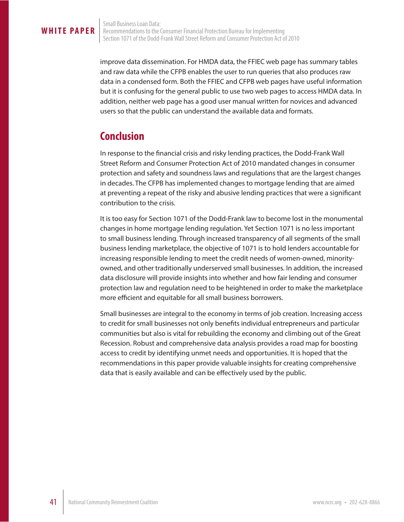<span id="page-40-0"></span>Small Business Loan Data: Recommendations to the Consumer Financial Protection Bureau for Implementing Section 1071 of the Dodd-Frank Wall Street Reform and Consumer Protection Act of 2010

improve data dissemination. For HMDA data, the FFIEC web page has summary tables and raw data while the CFPB enables the user to run queries that also produces raw data in a condensed form. Both the FFIEC and CFPB web pages have useful information but it is confusing for the general public to use two web pages to access HMDA data. In addition, neither web page has a good user manual written for novices and advanced users so that the public can understand the available data and formats.

# **Conclusion**

In response to the financial crisis and risky lending practices, the Dodd-Frank Wall Street Reform and Consumer Protection Act of 2010 mandated changes in consumer protection and safety and soundness laws and regulations that are the largest changes in decades. The CFPB has implemented changes to mortgage lending that are aimed at preventing a repeat of the risky and abusive lending practices that were a significant contribution to the crisis.

It is too easy for Section 1071 of the Dodd-Frank law to become lost in the monumental changes in home mortgage lending regulation. Yet Section 1071 is no less important to small business lending. Through increased transparency of all segments of the small business lending marketplace, the objective of 1071 is to hold lenders accountable for increasing responsible lending to meet the credit needs of women-owned, minorityowned, and other traditionally underserved small businesses. In addition, the increased data disclosure will provide insights into whether and how fair lending and consumer protection law and regulation need to be heightened in order to make the marketplace more efficient and equitable for all small business borrowers.

Small businesses are integral to the economy in terms of job creation. Increasing access to credit for small businesses not only benefits individual entrepreneurs and particular communities but also is vital for rebuilding the economy and climbing out of the Great Recession. Robust and comprehensive data analysis provides a road map for boosting access to credit by identifying unmet needs and opportunities. It is hoped that the recommendations in this paper provide valuable insights for creating comprehensive data that is easily available and can be effectively used by the public.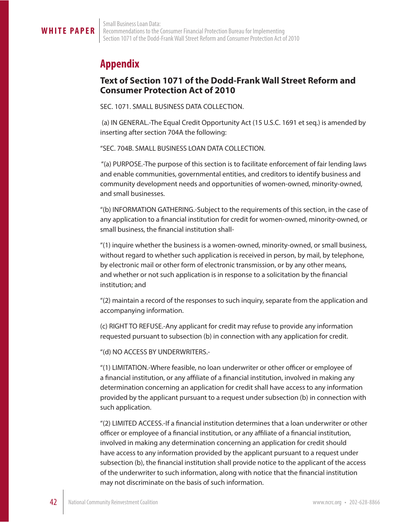<span id="page-41-0"></span>Small Business Loan Data: Recommendations to the Consumer Financial Protection Bureau for Implementing Section 1071 of the Dodd-Frank Wall Street Reform and Consumer Protection Act of 2010

# **Appendix**

### **Text of Section 1071 of the Dodd-Frank Wall Street Reform and Consumer Protection Act of 2010**

SEC. 1071. SMALL BUSINESS DATA COLLECTION.

 (a) IN GENERAL.-The Equal Credit Opportunity Act (15 U.S.C. 1691 et seq.) is amended by inserting after section 704A the following:

"SEC. 704B. SMALL BUSINESS LOAN DATA COLLECTION.

 "(a) PURPOSE.-The purpose of this section is to facilitate enforcement of fair lending laws and enable communities, governmental entities, and creditors to identify business and community development needs and opportunities of women-owned, minority-owned, and small businesses.

"(b) INFORMATION GATHERING.-Subject to the requirements of this section, in the case of any application to a financial institution for credit for women-owned, minority-owned, or small business, the financial institution shall-

"(1) inquire whether the business is a women-owned, minority-owned, or small business, without regard to whether such application is received in person, by mail, by telephone, by electronic mail or other form of electronic transmission, or by any other means, and whether or not such application is in response to a solicitation by the financial institution; and

"(2) maintain a record of the responses to such inquiry, separate from the application and accompanying information.

(c) RIGHT TO REFUSE.-Any applicant for credit may refuse to provide any information requested pursuant to subsection (b) in connection with any application for credit.

"(d) NO ACCESS BY UNDERWRITERS.-

"(1) LIMITATION.-Where feasible, no loan underwriter or other officer or employee of a financial institution, or any affiliate of a financial institution, involved in making any determination concerning an application for credit shall have access to any information provided by the applicant pursuant to a request under subsection (b) in connection with such application.

"(2) LIMITED ACCESS.-If a financial institution determines that a loan underwriter or other officer or employee of a financial institution, or any affiliate of a financial institution, involved in making any determination concerning an application for credit should have access to any information provided by the applicant pursuant to a request under subsection (b), the financial institution shall provide notice to the applicant of the access of the underwriter to such information, along with notice that the financial institution may not discriminate on the basis of such information.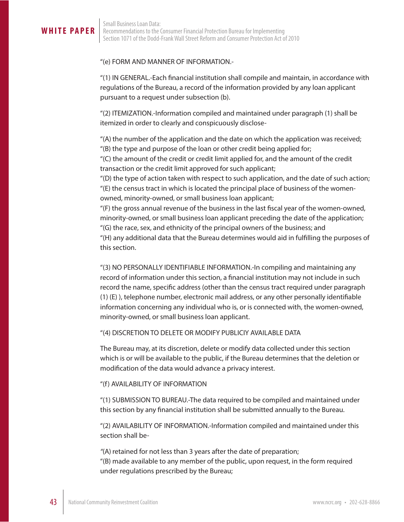#### "(e) FORM AND MANNER OF INFORMATION.-

"(1) IN GENERAL.-Each financial institution shall compile and maintain, in accordance with regulations of the Bureau, a record of the information provided by any loan applicant pursuant to a request under subsection (b).

"(2) ITEMIZATION.-Information compiled and maintained under paragraph (1) shall be itemized in order to clearly and conspicuously disclose-

"(A) the number of the application and the date on which the application was received;

"(B) the type and purpose of the loan or other credit being applied for;

"(C) the amount of the credit or credit limit applied for, and the amount of the credit transaction or the credit limit approved for such applicant;

"(D) the type of action taken with respect to such application, and the date of such action;  $'(E)$  the census tract in which is located the principal place of business of the womenowned, minority-owned, or small business loan applicant;

"(F) the gross annual revenue of the business in the last fiscal year of the women-owned, minority-owned, or small business loan applicant preceding the date of the application; "(G) the race, sex, and ethnicity of the principal owners of the business; and

"(H) any additional data that the Bureau determines would aid in fulfilling the purposes of this section.

"(3) NO PERSONALLY IDENTIFIABLE INFORMATION.-In compiling and maintaining any record of information under this section, a financial institution may not include in such record the name, specific address (other than the census tract required under paragraph (1) (E) ), telephone number, electronic mail address, or any other personally identifiable information concerning any individual who is, or is connected with, the women-owned, minority-owned, or small business loan applicant.

"(4) DISCRETION TO DELETE OR MODIFY PUBLICIY AVAILABLE DATA

The Bureau may, at its discretion, delete or modify data collected under this section which is or will be available to the public, if the Bureau determines that the deletion or modification of the data would advance a privacy interest.

#### "(f) AVAILABILITY OF INFORMATION

"(1) SUBMISSION TO BUREAU.-The data required to be compiled and maintained under this section by any financial institution shall be submitted annually to the Bureau.

"(2) AVAILABILITY OF INFORMATION.-Information compiled and maintained under this section shall be-

*"*(A) retained for not less than 3 years after the date of preparation;

"(B) made available to any member of the public, upon request, in the form required under regulations prescribed by the Bureau;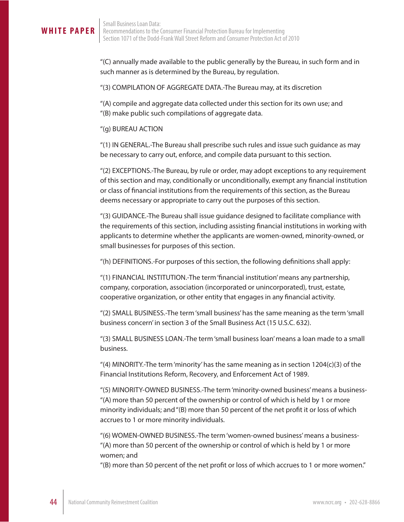"(C) annually made available to the public generally by the Bureau, in such form and in such manner as is determined by the Bureau, by regulation.

"(3) COMPILATION OF AGGREGATE DATA.-The Bureau may, at its discretion

"(A) compile and aggregate data collected under this section for its own use; and "(B) make public such compilations of aggregate data.

#### "(g) BUREAU ACTION

"(1) IN GENERAL.-The Bureau shall prescribe such rules and issue such guidance as may be necessary to carry out, enforce, and compile data pursuant to this section.

"(2) EXCEPTIONS.-The Bureau, by rule or order, may adopt exceptions to any requirement of this section and may, conditionally or unconditionally, exempt any financial institution or class of financial institutions from the requirements of this section, as the Bureau deems necessary or appropriate to carry out the purposes of this section.

"(3) GUIDANCE.-The Bureau shall issue guidance designed to facilitate compliance with the requirements of this section, including assisting financial institutions in working with applicants to determine whether the applicants are women-owned, minority-owned, or small businesses for purposes of this section.

"(h) DEFINITIONS.-For purposes of this section, the following definitions shall apply:

"(1) FINANCIAL INSTITUTION.-The term 'financial institution' means any partnership, company, corporation, association (incorporated or unincorporated), trust, estate, cooperative organization, or other entity that engages in any financial activity.

"(2) SMALL BUSINESS.-The term 'small business' has the same meaning as the term 'small business concern' in section 3 of the Small Business Act (15 U.S.C. 632).

"(3) SMALL BUSINESS LOAN.-The term 'small business loan' means a loan made to a small business.

"(4) MINORITY.-The term 'minority' has the same meaning as in section  $1204(c)(3)$  of the Financial Institutions Reform, Recovery, and Enforcement Act of 1989.

"(5) MINORITY-OWNED BUSINESS.-The term 'minority-owned business' means a business- "(A) more than 50 percent of the ownership or control of which is held by 1 or more minority individuals; and "(B) more than 50 percent of the net profit it or loss of which accrues to 1 or more minority individuals.

"(6) WOMEN-OWNED BUSINESS.-The term 'women-owned business' means a business- "(A) more than 50 percent of the ownership or control of which is held by 1 or more women; and

"(B) more than 50 percent of the net profit or loss of which accrues to 1 or more women."